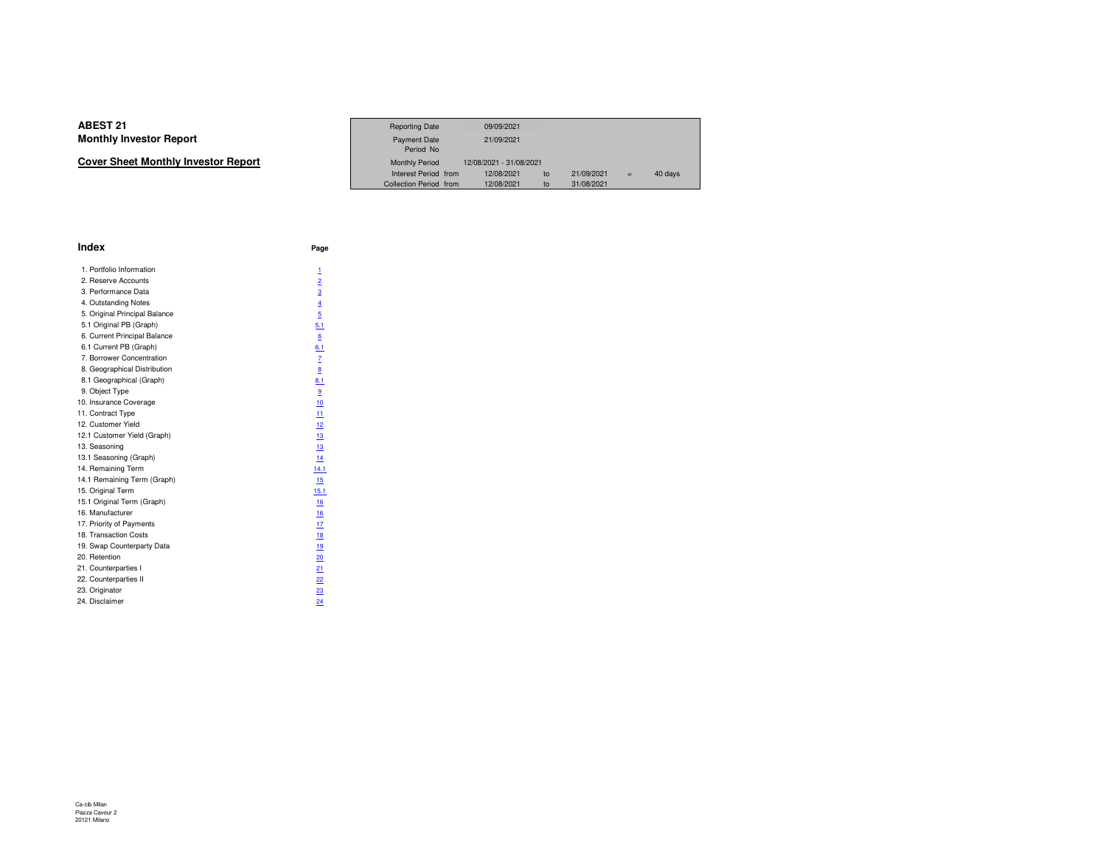| Cover Sheet Monthly Investor Report |  |
|-------------------------------------|--|
|-------------------------------------|--|

|                             | <b>Reporting Date</b>            | 09/09/2021              |            |     |         |  |
|-----------------------------|----------------------------------|-------------------------|------------|-----|---------|--|
| Investor Report             | <b>Payment Date</b><br>Period No | 21/09/2021              |            |     |         |  |
| eet Monthly Investor Report | <b>Monthly Period</b>            | 12/08/2021 - 31/08/2021 |            |     |         |  |
|                             | Interest Period from             | 12/08/2021<br>to        | 21/09/2021 | $=$ | 40 days |  |
|                             | Collection Period from           | 12/08/2021<br>to        | 31/08/2021 |     |         |  |

| Index                         | Page           |
|-------------------------------|----------------|
| 1. Portfolio Information      | 1              |
| 2. Reserve Accounts           | $\overline{2}$ |
| 3. Performance Data           | $\overline{3}$ |
| 4. Outstanding Notes          | $\overline{4}$ |
| 5. Original Principal Balance | 5              |
| 5.1 Original PB (Graph)       | 5.1            |
| 6. Current Principal Balance  | 6              |
| 6.1 Current PB (Graph)        | 6.1            |
| 7. Borrower Concentration     | $\mathbf{Z}$   |
| 8. Geographical Distribution  | 8              |
| 8.1 Geographical (Graph)      | 8.1            |
| 9. Object Type                | 9              |
| 10. Insurance Coverage        | 10             |
| 11. Contract Type             | 11             |
| 12. Customer Yield            | 12             |
| 12.1 Customer Yield (Graph)   | 13             |
| 13. Seasoning                 | 13             |
| 13.1 Seasoning (Graph)        | 14             |
| 14. Remaining Term            | 14.1           |
| 14.1 Remaining Term (Graph)   | 15             |
| 15. Original Term             | 15.1           |
| 15.1 Original Term (Graph)    | 16             |
| 16. Manufacturer              | 16             |
| 17. Priority of Payments      | 17             |
| 18. Transaction Costs         | 18             |
| 19. Swap Counterparty Data    | 19             |
| 20. Retention                 | 20             |
| 21. Counterparties I          | 21             |
| 22. Counterparties II         | 22             |
| 23. Originator                | 23             |
| 24. Disclaimer                | 24             |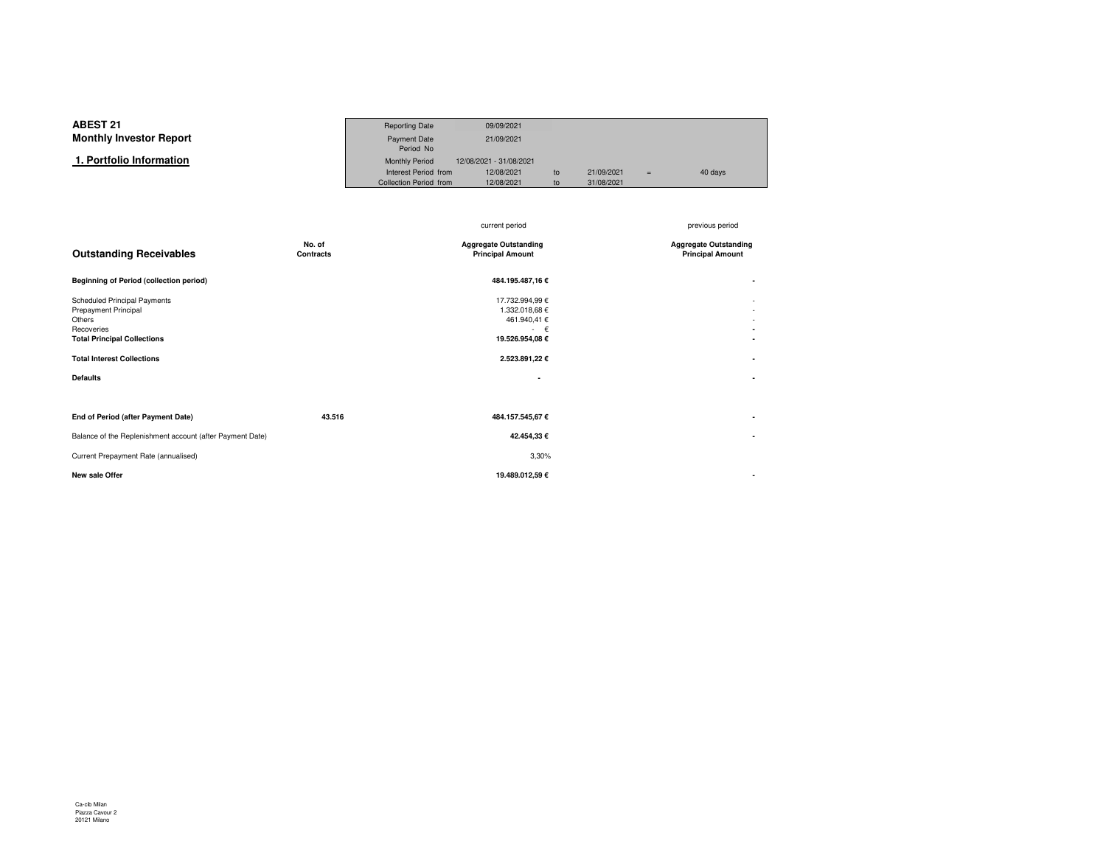#### **ABEST 21**Reporting Date 09/09/2021<br>Payment Date 21/09/2021 **Monthly Investor Report**Payment Date Period NoMonthly Period 12/08/2021 - 31/08/2021  **1. Portfolio Information**Interest Period from 12/08/2021 to 21/09/2021 <sup>=</sup> 40 daysCollection Period from

|                                                                                                                                                                            |                     | current period                                                                                            | previous period                                         |
|----------------------------------------------------------------------------------------------------------------------------------------------------------------------------|---------------------|-----------------------------------------------------------------------------------------------------------|---------------------------------------------------------|
| <b>Outstanding Receivables</b>                                                                                                                                             | No. of<br>Contracts | <b>Aggregate Outstanding</b><br><b>Principal Amount</b>                                                   | <b>Aggregate Outstanding</b><br><b>Principal Amount</b> |
| <b>Beginning of Period (collection period)</b>                                                                                                                             |                     | 484.195.487,16€                                                                                           |                                                         |
| Scheduled Principal Payments<br>Prepayment Principal<br>Others<br>Recoveries<br><b>Total Principal Collections</b><br><b>Total Interest Collections</b><br><b>Defaults</b> |                     | 17.732.994,99 €<br>1.332.018,68 €<br>461.940,41 €<br>$\epsilon$<br>19.526.954,08 €<br>2.523.891,22 €<br>٠ | ٠                                                       |
| End of Period (after Payment Date)                                                                                                                                         | 43.516              | 484.157.545,67€                                                                                           | ۰                                                       |
| Balance of the Replenishment account (after Payment Date)                                                                                                                  |                     | 42.454,33 €                                                                                               |                                                         |
| Current Prepayment Rate (annualised)                                                                                                                                       |                     | 3,30%                                                                                                     |                                                         |
| New sale Offer                                                                                                                                                             |                     | 19.489.012,59€                                                                                            |                                                         |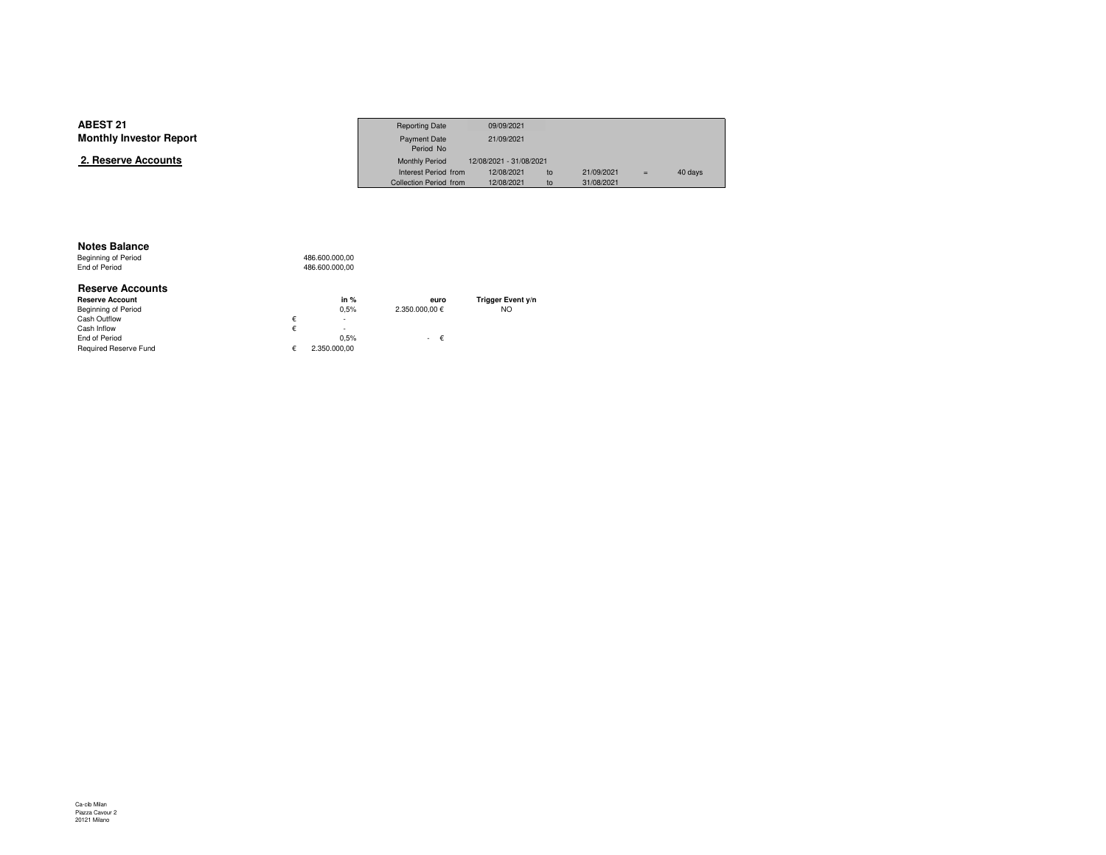| <b>ABEST 21</b>                | <b>Reporting Date</b>  | 09/09/2021              |            |     |         |
|--------------------------------|------------------------|-------------------------|------------|-----|---------|
| <b>Monthly Investor Report</b> | Payment Date           | 21/09/2021              |            |     |         |
|                                | Period No              |                         |            |     |         |
| 2. Reserve Accounts            | <b>Monthly Period</b>  | 12/08/2021 - 31/08/2021 |            |     |         |
|                                | Interest Period from   | 12/08/2021<br>to        | 21/09/2021 | $=$ | 40 days |
|                                | Collection Period from | 12/08/2021<br>to        | 31/08/2021 |     |         |

#### **Notes Balance**

Beginning of Period<br>End of Period 486.600.000,00 486.600.000,00

| <b>Reserve Accounts</b> |   |              |                |                   |
|-------------------------|---|--------------|----------------|-------------------|
| <b>Reserve Account</b>  |   | in $%$       | euro           | Trigger Event y/n |
| Beginning of Period     |   | 0.5%         | 2.350.000.00 € | <b>NO</b>         |
| Cash Outflow            | € | $\sim$       |                |                   |
| Cash Inflow             | € | $\sim$       |                |                   |
| End of Period           |   | 0.5%         | $ \epsilon$    |                   |
| Required Reserve Fund   |   | 2.350.000.00 |                |                   |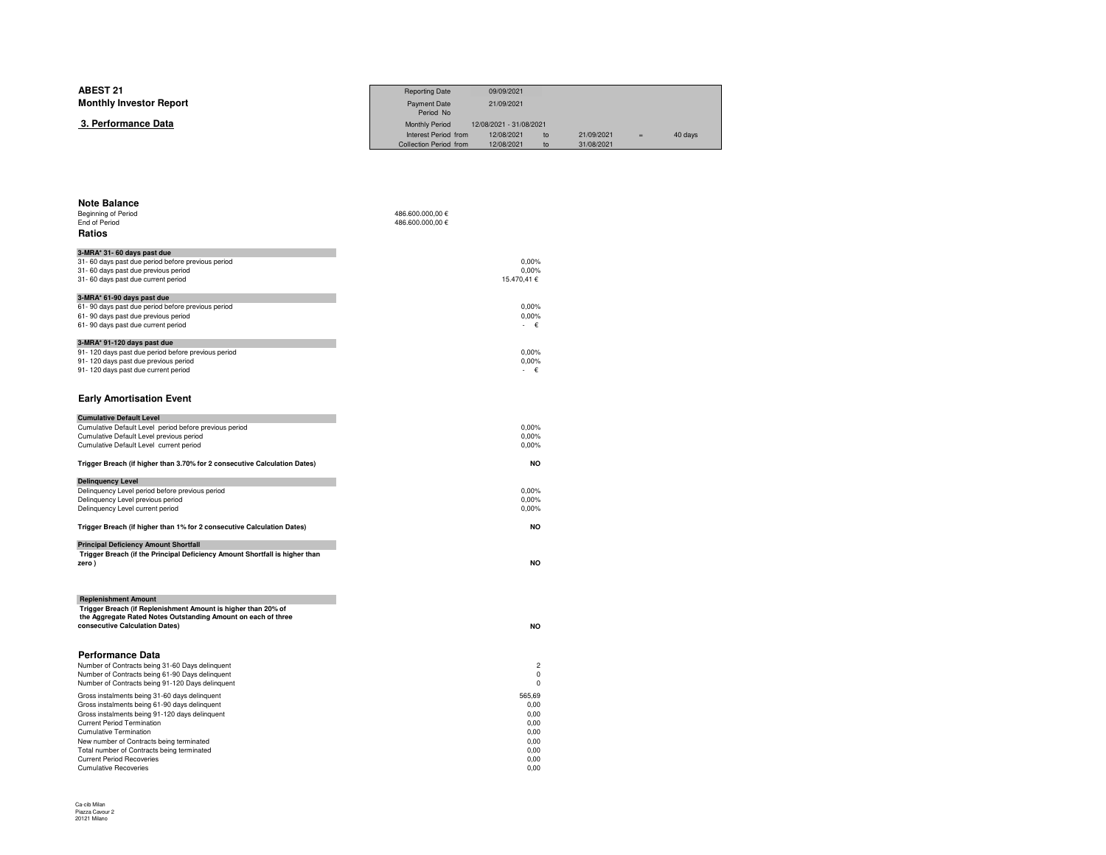| Period No<br>3. Performance Data<br><b>Monthly Period</b><br>12/08/2021 - 31/08/2021<br>Interest Period from<br>12/08/2021<br>21/09/2021<br>40 days<br>to<br>$=$<br>Collection Period from<br>12/08/2021<br>31/08/2021<br>to | <b>ABEST 21</b>                | <b>Reporting Date</b> | 09/09/2021 |  |  |
|------------------------------------------------------------------------------------------------------------------------------------------------------------------------------------------------------------------------------|--------------------------------|-----------------------|------------|--|--|
|                                                                                                                                                                                                                              | <b>Monthly Investor Report</b> | Payment Date          | 21/09/2021 |  |  |
|                                                                                                                                                                                                                              |                                |                       |            |  |  |
|                                                                                                                                                                                                                              |                                |                       |            |  |  |
|                                                                                                                                                                                                                              |                                |                       |            |  |  |

| <b>Note Balance</b><br>Beginning of Period<br>End of Period<br>Ratios                                                                                                                                                                                                                                                                                                                | 486.600.000,00 €<br>486.600.000,00 €                                   |
|--------------------------------------------------------------------------------------------------------------------------------------------------------------------------------------------------------------------------------------------------------------------------------------------------------------------------------------------------------------------------------------|------------------------------------------------------------------------|
| 3-MRA* 31- 60 days past due<br>31-60 days past due period before previous period<br>31-60 days past due previous period<br>31-60 days past due current period                                                                                                                                                                                                                        | 0.00%<br>0,00%<br>15.470.41 €                                          |
| 3-MRA* 61-90 days past due<br>61-90 days past due period before previous period<br>61-90 days past due previous period<br>61-90 days past due current period                                                                                                                                                                                                                         | 0.00%<br>0,00%<br>€                                                    |
| 3-MRA* 91-120 days past due<br>91-120 days past due period before previous period<br>91-120 days past due previous period<br>91-120 days past due current period<br><b>Early Amortisation Event</b>                                                                                                                                                                                  | 0,00%<br>0.00%<br>- €                                                  |
| <b>Cumulative Default Level</b>                                                                                                                                                                                                                                                                                                                                                      |                                                                        |
| Cumulative Default Level period before previous period<br>Cumulative Default Level previous period<br>Cumulative Default Level current period                                                                                                                                                                                                                                        | 0,00%<br>0.00%<br>0,00%                                                |
| Trigger Breach (if higher than 3.70% for 2 consecutive Calculation Dates)                                                                                                                                                                                                                                                                                                            | <b>NO</b>                                                              |
| <b>Delinquency Level</b><br>Delinquency Level period before previous period<br>Delinquency Level previous period<br>Delinquency Level current period                                                                                                                                                                                                                                 | 0,00%<br>0,00%<br>0,00%                                                |
| Trigger Breach (if higher than 1% for 2 consecutive Calculation Dates)                                                                                                                                                                                                                                                                                                               | NO                                                                     |
| <b>Principal Deficiency Amount Shortfall</b><br>Trigger Breach (if the Principal Deficiency Amount Shortfall is higher than<br>zero)                                                                                                                                                                                                                                                 | NO                                                                     |
| <b>Replenishment Amount</b><br>Trigger Breach (if Replenishment Amount is higher than 20% of<br>the Aggregate Rated Notes Outstanding Amount on each of three<br>consecutive Calculation Dates)                                                                                                                                                                                      | <b>NO</b>                                                              |
| <b>Performance Data</b><br>Number of Contracts being 31-60 Days delinquent<br>Number of Contracts being 61-90 Days delinquent<br>Number of Contracts being 91-120 Days delinquent                                                                                                                                                                                                    | $\overline{c}$<br>$\mathbf 0$<br>0                                     |
| Gross instalments being 31-60 days delinquent<br>Gross instalments being 61-90 days delinquent<br>Gross instalments being 91-120 days delinquent<br><b>Current Period Termination</b><br><b>Cumulative Termination</b><br>New number of Contracts being terminated<br>Total number of Contracts being terminated<br><b>Current Period Recoveries</b><br><b>Cumulative Recoveries</b> | 565,69<br>0.00<br>0,00<br>0.00<br>0.00<br>0.00<br>0,00<br>0.00<br>0.00 |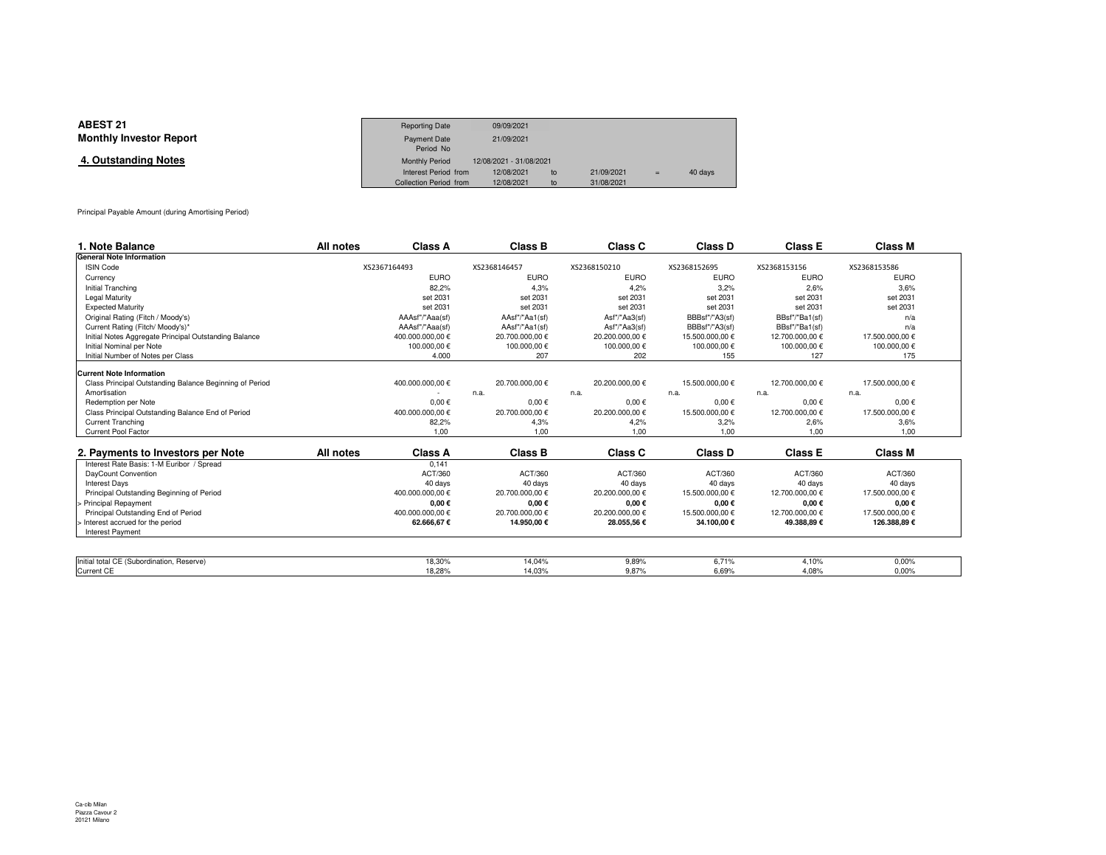| <b>ABEST 21</b>                | <b>Reporting Date</b>  | 09/09/2021              |    |            |     |         |
|--------------------------------|------------------------|-------------------------|----|------------|-----|---------|
| <b>Monthly Investor Report</b> | <b>Payment Date</b>    | 21/09/2021              |    |            |     |         |
|                                | Period No              |                         |    |            |     |         |
| 4. Outstanding Notes           | <b>Monthly Period</b>  | 12/08/2021 - 31/08/2021 |    |            |     |         |
|                                | Interest Period from   | 12/08/2021              | to | 21/09/2021 | $=$ | 40 days |
|                                | Collection Period from | 12/08/2021              | to | 31/08/2021 |     |         |

Principal Payable Amount (during Amortising Period)

| 1. Note Balance                                         | All notes    | <b>Class A</b>   | <b>Class B</b>  | Class C         | Class D         | <b>Class E</b>  | <b>Class M</b>  |  |
|---------------------------------------------------------|--------------|------------------|-----------------|-----------------|-----------------|-----------------|-----------------|--|
| <b>General Note Information</b>                         |              |                  |                 |                 |                 |                 |                 |  |
| <b>ISIN Code</b>                                        | XS2367164493 |                  | XS2368146457    | XS2368150210    | XS2368152695    | XS2368153156    | XS2368153586    |  |
| Currency                                                |              | <b>EURO</b>      | <b>EURO</b>     | <b>EURO</b>     | <b>EURO</b>     | <b>EURO</b>     | <b>EURO</b>     |  |
| Initial Tranching                                       |              | 82,2%            | 4.3%            | 4.2%            | 3.2%            | 2,6%            | 3.6%            |  |
| Legal Maturity                                          |              | set 2031         | set 2031        | set 2031        | set 2031        | set 2031        | set 2031        |  |
| <b>Expected Maturity</b>                                |              | set 2031         | set 2031        | set 2031        | set 2031        | set 2031        | set 2031        |  |
| Original Rating (Fitch / Moody's)                       |              | AAAsf"/"Aaa(sf)  | AAsf"/"Aa1(sf)  | Asf"/"Aa3(sf)   | BBBsf"/"A3(sf)  | BBsf"/"Ba1(sf)  | n/a             |  |
| Current Rating (Fitch/ Moody's)*                        |              | AAAsf"/"Aaa(sf)  | AAsf"/"Aa1(sf)  | Asf"/"Aa3(sf)   | BBBsf"/"A3(sf)  | BBsf"/"Ba1(sf)  | n/a             |  |
| Initial Notes Aggregate Principal Outstanding Balance   |              | 400.000.000.00 € | 20.700.000,00 € | 20.200.000,00 € | 15.500.000,00 € | 12.700.000.00 € | 17.500.000,00 € |  |
| Initial Nominal per Note                                |              | 100.000.00 €     | 100.000.00 €    | 100.000.00€     | 100.000.00€     | 100.000.00 €    | 100.000.00 €    |  |
| Initial Number of Notes per Class                       |              | 4.000            | 207             | 202             | 155             | 127             | 175             |  |
| <b>Current Note Information</b>                         |              |                  |                 |                 |                 |                 |                 |  |
| Class Principal Outstanding Balance Beginning of Period |              | 400.000.000,00 € | 20.700.000,00 € | 20.200.000,00 € | 15.500.000,00 € | 12.700.000.00 € | 17.500.000.00 € |  |
| Amortisation                                            |              |                  | n.a.            | n.a.            | n.a.            | n.a.            | n.a.            |  |
| Redemption per Note                                     |              | $0,00 \in$       | $0,00 \in$      | $0.00 \in$      | $0.00 \in$      | $0.00 \in$      | $0.00 \in$      |  |
| Class Principal Outstanding Balance End of Period       |              | 400.000.000,00 € | 20.700.000,00 € | 20.200.000,00 € | 15.500.000,00 € | 12.700.000,00 € | 17.500.000,00 € |  |
| <b>Current Tranching</b>                                |              | 82,2%            | 4,3%            | 4.2%            | 3,2%            | 2,6%            | 3.6%            |  |
| Current Pool Factor                                     |              | 1,00             | 1.00            | 1.00            | 1.00            | 1,00            | 1.00            |  |
| 2. Payments to Investors per Note                       | All notes    | Class A          | Class B         | Class C         | Class D         | <b>Class E</b>  | <b>Class M</b>  |  |
| Interest Rate Basis: 1-M Euribor / Spread               |              | 0.141            |                 |                 |                 |                 |                 |  |
| DayCount Convention                                     |              | ACT/360          | ACT/360         | ACT/360         | ACT/360         | ACT/360         | ACT/360         |  |
| <b>Interest Days</b>                                    |              | 40 days          | 40 days         | 40 days         | 40 days         | 40 days         | 40 days         |  |
| Principal Outstanding Beginning of Period               |              | 400.000.000.00 € | 20.700.000.00 € | 20.200.000.00 € | 15.500.000.00 € | 12.700.000.00 € | 17.500.000.00 € |  |
| > Principal Repayment                                   |              | $0,00 \in$       | $0,00 \in$      | $0,00 \in$      | $0,00 \in$      | $0,00 \in$      | $0,00 \in$      |  |
| Principal Outstanding End of Period                     |              | 400.000.000.00 € | 20.700.000,00 € | 20.200.000,00 € | 15.500.000,00 € | 12.700.000,00 € | 17.500.000,00 € |  |
| > Interest accrued for the period                       |              | 62.666,67€       | 14.950,00 €     | 28.055,56€      | 34.100,00€      | 49.388,89€      | 126.388,89€     |  |
| <b>Interest Payment</b>                                 |              |                  |                 |                 |                 |                 |                 |  |
|                                                         |              |                  |                 |                 |                 |                 |                 |  |
| Initial total CE (Subordination, Reserve)               |              |                  |                 |                 | 6,71%           | 4,10%           | 0,00%           |  |
|                                                         |              | 18,30%           | 14,04%          | 9,89%           |                 |                 |                 |  |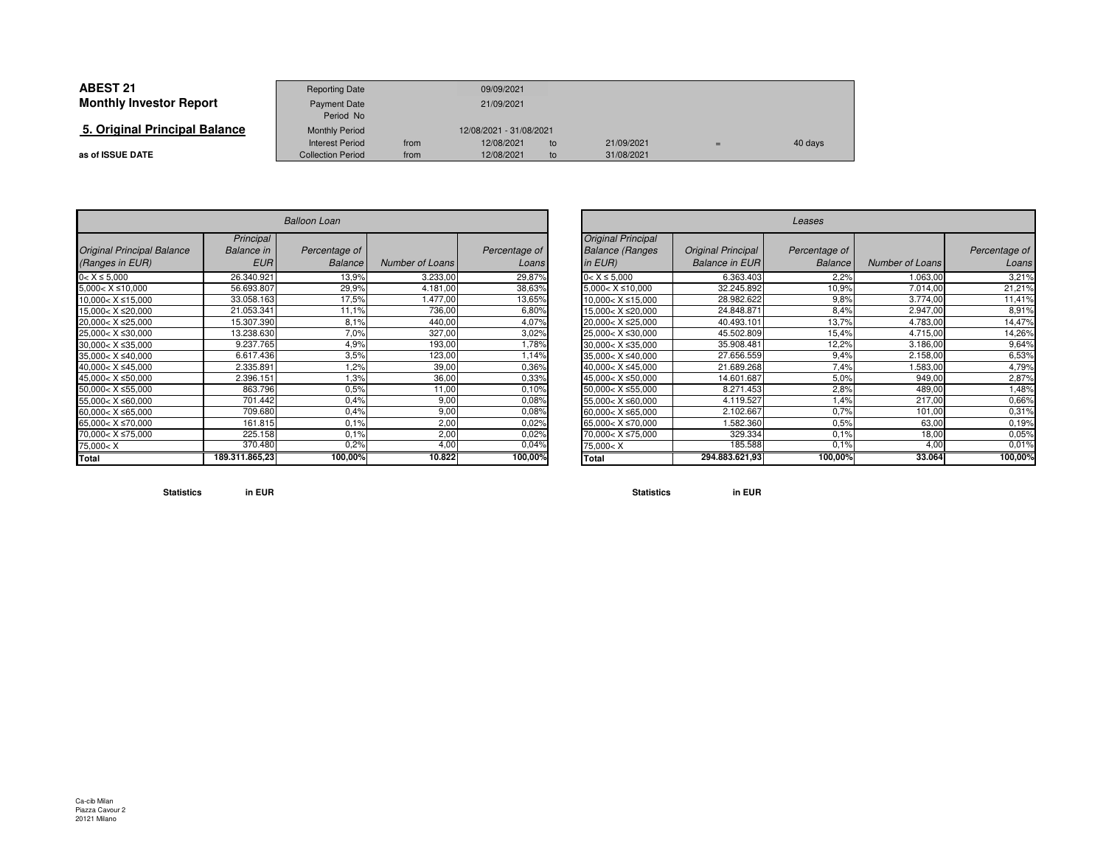| <b>ABEST 21</b>                | <b>Reporting Date</b>    |            | 09/09/2021              |    |            |  |         |
|--------------------------------|--------------------------|------------|-------------------------|----|------------|--|---------|
| <b>Monthly Investor Report</b> | <b>Payment Date</b>      | 21/09/2021 |                         |    |            |  |         |
|                                | Period No                |            |                         |    |            |  |         |
| 5. Original Principal Balance  | <b>Monthly Period</b>    |            | 12/08/2021 - 31/08/2021 |    |            |  |         |
|                                | <b>Interest Period</b>   | from       | 12/08/2021              | to | 21/09/2021 |  | 40 days |
| as of ISSUE DATE               | <b>Collection Period</b> | from       | 12/08/2021              | to | 31/08/2021 |  |         |

| <b>Balloon Loan</b>                                                            |                                              |                                 |                        |                        |  |  |  |  |
|--------------------------------------------------------------------------------|----------------------------------------------|---------------------------------|------------------------|------------------------|--|--|--|--|
| <b>Original Principal Balance</b><br>(Ranges in EUR)                           | Principal<br><b>Balance</b> in<br><b>EUR</b> | Percentage of<br><b>Balance</b> | <b>Number of Loans</b> | Percentage of<br>Loans |  |  |  |  |
| $0 < X \leq 5,000$                                                             | 26.340.921                                   | 13,9%                           | 3.233,00               | 29,87%                 |  |  |  |  |
| $5,000 < X \le 10,000$                                                         | 56.693.807                                   | 29,9%                           | 4.181,00               | 38,63%                 |  |  |  |  |
| $10,000 < X \le 15,000$                                                        | 33.058.163                                   | 17,5%                           | 1.477,00               | 13,65%                 |  |  |  |  |
| 15.000< X ≤20.000                                                              | 21.053.341                                   | 11,1%                           | 736,00                 | 6,80%                  |  |  |  |  |
| 20.000< X ≤25.000                                                              | 15.307.390                                   | 8.1%                            | 440,00                 | 4,07%                  |  |  |  |  |
| 25,000< X ≤30,000                                                              | 13.238.630                                   | 7,0%                            | 327,00                 | 3,02%                  |  |  |  |  |
| $30,000 < X \leq 35,000$                                                       | 9.237.765                                    | 4,9%                            | 193,00                 | 1,78%                  |  |  |  |  |
| $35,000 < X \leq 40,000$                                                       | 6.617.436                                    | 3.5%                            | 123,00                 | 1,14%                  |  |  |  |  |
| 40.000< X ≤45.000                                                              | 2.335.891                                    | 1,2%                            | 39,00                  | 0,36%                  |  |  |  |  |
| 45,000< X ≤50,000                                                              | 2.396.151                                    | 1,3%                            | 36,00                  | 0,33%                  |  |  |  |  |
| $50,000 < X \le 55,000$                                                        | 863.796                                      | 0.5%                            | 11,00                  | 0.10%                  |  |  |  |  |
| 55,000< X ≤60,000                                                              | 701.442                                      | 0.4%                            | 9,00                   | 0,08%                  |  |  |  |  |
| 60,000< $X \le 65,000$                                                         | 709.680                                      | 0.4%                            | 9,00                   | 0.08%                  |  |  |  |  |
| 65.000< X ≤70.000                                                              | 161.815                                      | 0.1%                            | 2,00                   | 0.02%                  |  |  |  |  |
| 70,000< X ≤75,000                                                              | 225.158                                      | 0.1%                            | 2,00                   | 0.02%                  |  |  |  |  |
| 75,000 <x< td=""><td>370.480</td><td>0,2%</td><td>4,00</td><td>0,04%</td></x<> | 370.480                                      | 0,2%                            | 4,00                   | 0,04%                  |  |  |  |  |
| Total                                                                          | 189.311.865,23                               | 100,00%                         | 10.822                 | 100,00%                |  |  |  |  |

| $\overline{r}$   |                        |                        |                                                                                | Leases                                             |                                 |                 |                        |  |  |  |  |  |
|------------------|------------------------|------------------------|--------------------------------------------------------------------------------|----------------------------------------------------|---------------------------------|-----------------|------------------------|--|--|--|--|--|
| age of<br>alance | <b>Number of Loans</b> | Percentage of<br>Loans | <b>Original Principal</b><br><b>Balance (Ranges)</b><br>$in EUR$ )             | <b>Original Principal</b><br><b>Balance in EUR</b> | Percentage of<br><b>Balance</b> | Number of Loans | Percentage of<br>Loans |  |  |  |  |  |
| 13,9%            | 3.233,00               | 29,87%                 | $0 < X \le 5,000$                                                              | 6.363.403                                          | 2.2%                            | 1.063,00        | 3,21%                  |  |  |  |  |  |
| 29,9%            | 4.181,00               | 38,63%                 | $5,000 < X \le 10,000$                                                         | 32.245.892                                         | 10,9%                           | 7.014,00        | 21,21%                 |  |  |  |  |  |
| 17,5%            | .477,00                | 13,65%                 | $10,000 < X \le 15,000$                                                        | 28.982.622                                         | 9,8%                            | 3.774,00        | 11,41%                 |  |  |  |  |  |
| 11,1%            | 736,00                 | 6,80%                  | 15,000< X ≤20,000                                                              | 24.848.871                                         | 8,4%                            | 2.947,00        | 8,91%                  |  |  |  |  |  |
| 8.1%             | 440,00                 | 4,07%                  | 20,000< X ≤25,000                                                              | 40.493.101                                         | 13.7%                           | 4.783,00        | 14,47%                 |  |  |  |  |  |
| 7,0%             | 327,00                 | 3,02%                  | 25,000< X ≤30,000                                                              | 45.502.809                                         | 15,4%                           | 4.715,00        | 14,26%                 |  |  |  |  |  |
| 4,9%             | 193,00                 | 1,78%                  | $30.000 < X \leq 35.000$                                                       | 35.908.481                                         | 12,2%                           | 3.186,00        | 9,64%                  |  |  |  |  |  |
| 3,5%             | 123,00                 | 1,14%                  | 35,000< X ≤40,000                                                              | 27.656.559                                         | 9,4%                            | 2.158,00        | 6,53%                  |  |  |  |  |  |
| 1,2%             | 39,00                  | 0.36%                  | 40.000< X ≤45.000                                                              | 21.689.268                                         | 7,4%                            | 1.583,00        | 4,79%                  |  |  |  |  |  |
| 1,3%             | 36,00                  | 0,33%                  | 45,000< X ≤50,000                                                              | 14.601.687                                         | 5,0%                            | 949,00          | 2,87%                  |  |  |  |  |  |
| 0.5%             | 11,00                  | 0.10%                  | $50.000 < X \le 55.000$                                                        | 8.271.453                                          | 2,8%                            | 489,00          | .48%                   |  |  |  |  |  |
| 0.4%             | 9,00                   | 0.08%                  | 55,000< X ≤60,000                                                              | 4.119.527                                          | 1,4%                            | 217,00          | 0,66%                  |  |  |  |  |  |
| 0.4%             | 9,00                   | 0.08%                  | $60,000 < X \leq 65,000$                                                       | 2.102.667                                          | 0.7%                            | 101,00          | 0,31%                  |  |  |  |  |  |
| 0.1%             | 2,00                   | 0.02%                  | 65,000< X ≤70,000                                                              | .582.360                                           | 0.5%                            | 63,00           | 0.19%                  |  |  |  |  |  |
| 0.1%             | 2,00                   | 0.02%                  | 70,000< X ≤75,000                                                              | 329.334                                            | 0.1%                            | 18,00           | 0,05%                  |  |  |  |  |  |
| 0,2%             | 4,00                   | 0,04%                  | 75,000 <x< td=""><td>185.588</td><td>0,1%</td><td>4,00</td><td>0,01%</td></x<> | 185.588                                            | 0,1%                            | 4,00            | 0,01%                  |  |  |  |  |  |
| 00,00%           | 10.822                 | 100,00%                | Total                                                                          | 294.883.621,93                                     | 100,00%                         | 33.064          | 100,00%                |  |  |  |  |  |

**Statistics in EUR**

**Statistics in EUR**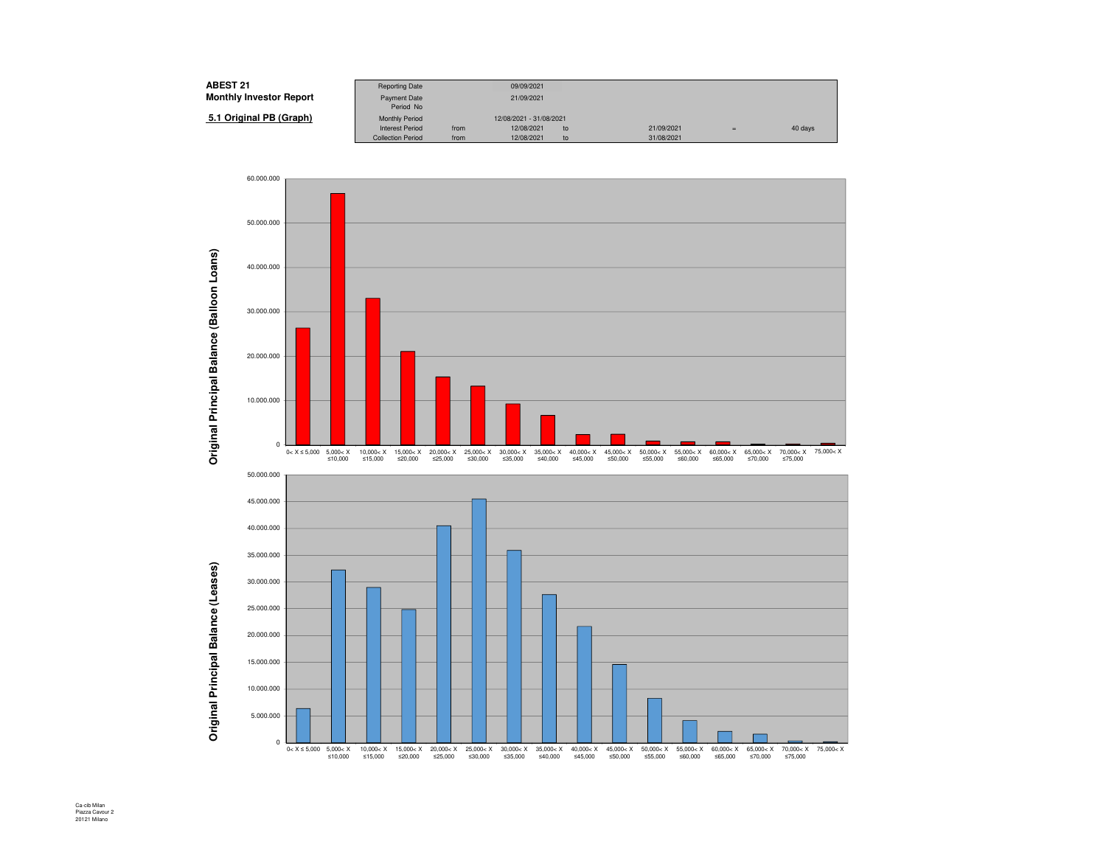| <b>ABEST 21</b>                | <b>Reporting Date</b>    |      | 09/09/2021              |    |            |     |         |
|--------------------------------|--------------------------|------|-------------------------|----|------------|-----|---------|
| <b>Monthly Investor Report</b> | <b>Payment Date</b>      |      | 21/09/2021              |    |            |     |         |
|                                | Period No                |      |                         |    |            |     |         |
| 5.1 Original PB (Graph)        | <b>Monthly Period</b>    |      | 12/08/2021 - 31/08/2021 |    |            |     |         |
|                                | <b>Interest Period</b>   | from | 12/08/2021              | to | 21/09/2021 | $=$ | 40 days |
|                                | <b>Collection Period</b> | from | 12/08/2021              | to | 31/08/2021 |     |         |



Ca-cib Milan Piazza Cavour 2 20121 Milano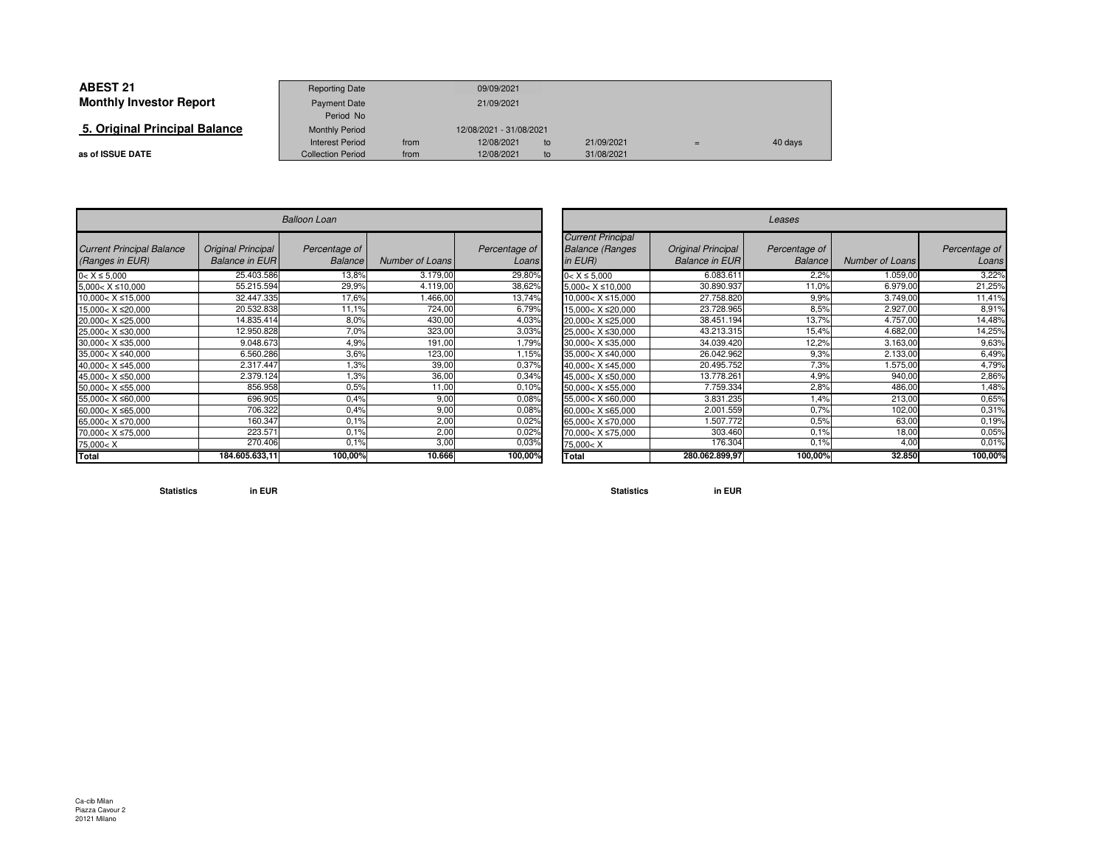| <b>ABEST 21</b>                | <b>Reporting Date</b>    |      | 09/09/2021              |    |            |     |         |
|--------------------------------|--------------------------|------|-------------------------|----|------------|-----|---------|
| <b>Monthly Investor Report</b> | Payment Date             |      | 21/09/2021              |    |            |     |         |
|                                | Period No                |      |                         |    |            |     |         |
| 5. Original Principal Balance  | <b>Monthly Period</b>    |      | 12/08/2021 - 31/08/2021 |    |            |     |         |
|                                | Interest Period          | from | 12/08/2021              | to | 21/09/2021 | $=$ | 40 days |
| as of ISSUE DATE               | <b>Collection Period</b> | from | 12/08/2021              | to | 31/08/2021 |     |         |

 $\sim$ 

|                                                                                | <b>Balloon Loan</b>                                |                                 |                 |                        |  |  |  |  |  |  |
|--------------------------------------------------------------------------------|----------------------------------------------------|---------------------------------|-----------------|------------------------|--|--|--|--|--|--|
| <b>Current Principal Balance</b><br>(Ranges in EUR)                            | <b>Original Principal</b><br><b>Balance in EUR</b> | Percentage of<br><b>Balance</b> | Number of Loans | Percentage of<br>Loans |  |  |  |  |  |  |
| $0 < X \le 5,000$                                                              | 25.403.586                                         | 13,8%                           | 3.179,00        | 29,80%                 |  |  |  |  |  |  |
| $5,000 < X \le 10,000$                                                         | 55.215.594                                         | 29,9%                           | 4.119,00        | 38,62%                 |  |  |  |  |  |  |
| $10,000 < X \le 15,000$                                                        | 32.447.335                                         | 17,6%                           | 1.466,00        | 13,74%                 |  |  |  |  |  |  |
| 15,000< X ≤20,000                                                              | 20.532.838                                         | 11,1%                           | 724,00          | 6,79%                  |  |  |  |  |  |  |
| 20,000< X ≤25,000                                                              | 14.835.414                                         | 8,0%                            | 430,00          | 4,03%                  |  |  |  |  |  |  |
| 25,000< X ≤30,000                                                              | 12.950.828                                         | 7,0%                            | 323,00          | 3,03%                  |  |  |  |  |  |  |
| 30,000< X ≤35,000                                                              | 9.048.673                                          | 4,9%                            | 191,00          | 1,79%                  |  |  |  |  |  |  |
| 35.000< X ≤40.000                                                              | 6.560.286                                          | 3,6%                            | 123,00          | 1,15%                  |  |  |  |  |  |  |
| 40,000< X ≤45,000                                                              | 2.317.447                                          | 1.3%                            | 39,00           | 0,37%                  |  |  |  |  |  |  |
| 45,000< X ≤50,000                                                              | 2.379.124                                          | 1,3%                            | 36,00           | 0,34%                  |  |  |  |  |  |  |
| 50,000< X ≤55,000                                                              | 856.958                                            | 0.5%                            | 11.00           | 0.10%                  |  |  |  |  |  |  |
| 55,000< X ≤60,000                                                              | 696.905                                            | 0.4%                            | 9,00            | 0.08%                  |  |  |  |  |  |  |
| 60,000< X ≤65,000                                                              | 706.322                                            | 0.4%                            | 9,00            | 0,08%                  |  |  |  |  |  |  |
| 65,000< X ≤70,000                                                              | 160.347                                            | 0.1%                            | 2,00            | 0,02%                  |  |  |  |  |  |  |
| 70,000< X ≤75,000                                                              | 223.571                                            | 0.1%                            | 2,00            | 0.02%                  |  |  |  |  |  |  |
| 75,000 <x< td=""><td>270.406</td><td>0.1%</td><td>3,00</td><td>0,03%</td></x<> | 270.406                                            | 0.1%                            | 3,00            | 0,03%                  |  |  |  |  |  |  |
| Total                                                                          | 184.605.633,11                                     | 100,00%                         | 10.666          | 100,00%                |  |  |  |  |  |  |

| $\overline{r}$     |                 |                        |                                                                                | Leases                                             |                                 |                        |                        |  |  |  |  |
|--------------------|-----------------|------------------------|--------------------------------------------------------------------------------|----------------------------------------------------|---------------------------------|------------------------|------------------------|--|--|--|--|
| tage of<br>Balance | Number of Loans | Percentage of<br>Loans | <b>Current Principal</b><br><b>Balance (Ranges</b><br>in $EUR$ )               | <b>Original Principal</b><br><b>Balance in EUR</b> | Percentage of<br><b>Balance</b> | <b>Number of Loans</b> | Percentage of<br>Loans |  |  |  |  |
| 13,8%              | 3.179,00        | 29,80%                 | $0 < X \le 5,000$                                                              | 6.083.611                                          | 2,2%                            | 1.059,00               | 3,22%                  |  |  |  |  |
| 29,9%              | 4.119,00        | 38,62%                 | $5,000 < X \le 10,000$                                                         | 30.890.937                                         | 11,0%                           | 6.979,00               | 21,25%                 |  |  |  |  |
| 17,6%              | <b>466.00</b>   | 13,74%                 | $10,000 < X \leq 15,000$                                                       | 27.758.820                                         | 9,9%                            | 3.749,00               | 11,41%                 |  |  |  |  |
| 11,1%              | 724,00          | 6,79%                  | 15,000< X ≤20,000                                                              | 23.728.965                                         | 8,5%                            | 2.927,00               | 8,91%                  |  |  |  |  |
| 8,0%               | 430,00          | 4,03%                  | 20,000< X ≤25,000                                                              | 38.451.194                                         | 13,7%                           | 4.757,00               | 14,48%                 |  |  |  |  |
| 7,0%               | 323,00          | 3,03%                  | 25,000< X ≤30,000                                                              | 43.213.315                                         | 15.4%                           | 4.682,00               | 14,25%                 |  |  |  |  |
| 4,9%               | 191,00          | .79%                   | $30,000 < X \leq 35,000$                                                       | 34.039.420                                         | 12,2%                           | 3.163,00               | 9,63%                  |  |  |  |  |
| 3,6%               | 123,00          | 1,15%                  | 35,000< X ≤40,000                                                              | 26.042.962                                         | 9.3%                            | 2.133,00               | 6,49%                  |  |  |  |  |
| 1.3%               | 39,00           | 0,37%                  | 40,000< X ≤45,000                                                              | 20.495.752                                         | 7,3%                            | 1.575,00               | 4,79%                  |  |  |  |  |
| 1,3%               | 36,00           | 0,34%                  | 45.000< X ≤50.000                                                              | 13.778.261                                         | 4,9%                            | 940,00                 | 2,86%                  |  |  |  |  |
| 0.5%               | 11,00           | 0.10%                  | 50,000< X ≤55,000                                                              | 7.759.334                                          | 2,8%                            | 486.00                 | ,48%                   |  |  |  |  |
| 0.4%               | 9,00            | 0,08%                  | 55,000< X ≤60,000                                                              | 3.831.235                                          | 1,4%                            | 213,00                 | 0.65%                  |  |  |  |  |
| 0.4%               | 9,00            | 0,08%                  | 60,000< X ≤65,000                                                              | 2.001.559                                          | 0.7%                            | 102,00                 | 0,31%                  |  |  |  |  |
| 0.1%               | 2,00            | 0,02%                  | 65,000< X ≤70,000                                                              | .507.772                                           | 0,5%                            | 63,00                  | 0.19%                  |  |  |  |  |
| 0.1%               | 2,00            | 0,02%                  | 70,000< X ≤75,000                                                              | 303.460                                            | 0.1%                            | 18,00                  | 0,05%                  |  |  |  |  |
| $0.1\%$            | 3,00            | 0,03%                  | 75,000 <x< td=""><td>176.304</td><td>0.1%</td><td>4,00</td><td>0,01%</td></x<> | 176.304                                            | 0.1%                            | 4,00                   | 0,01%                  |  |  |  |  |
| 100,00%            | 10.666          | 100,00%                | Total                                                                          | 280.062.899.97                                     | 100,00%                         | 32.850                 | 100,00%                |  |  |  |  |

**Statistics in EUR**

**Statistics in EUR**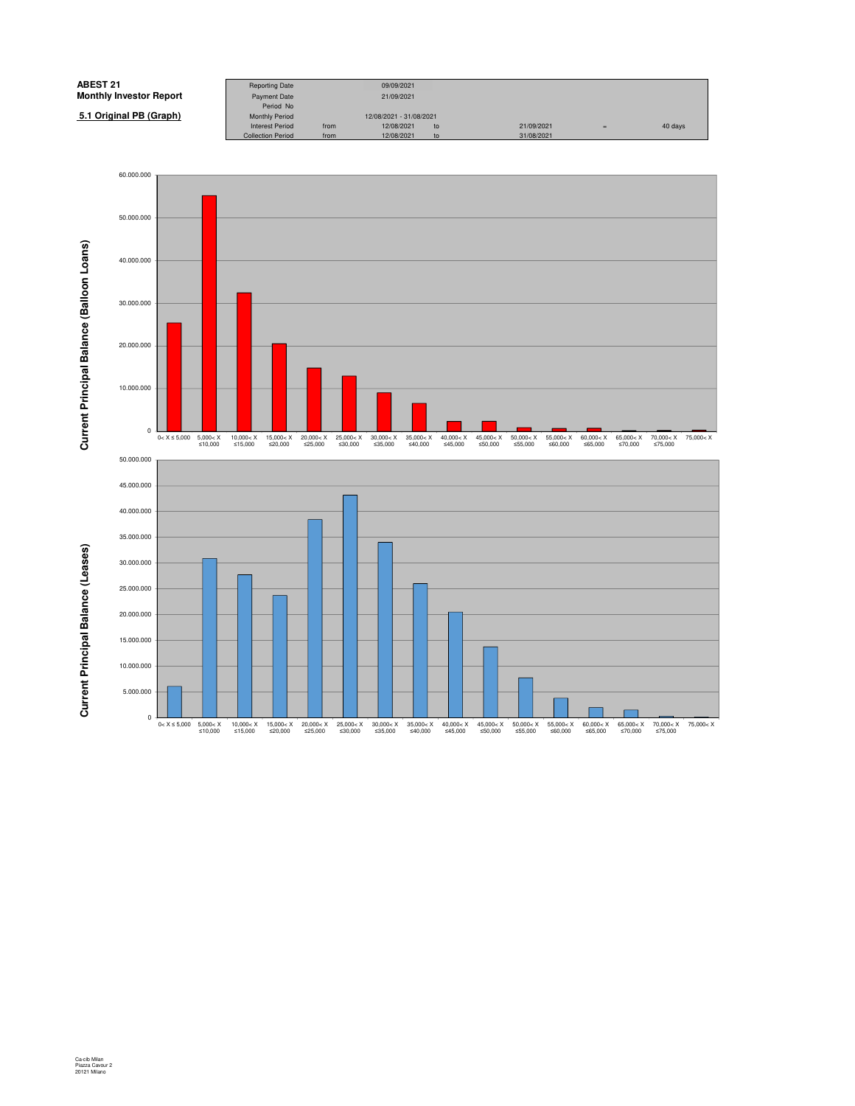

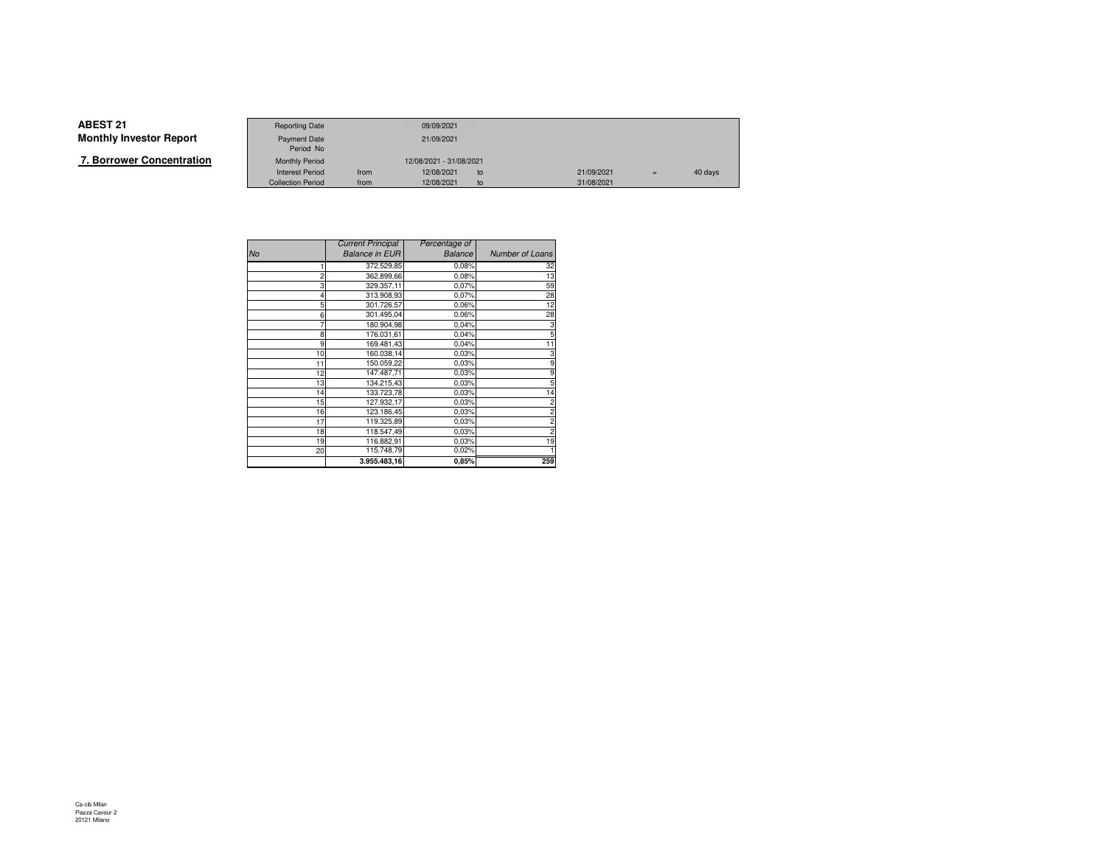|--|

|                   | <b>Reporting Date</b>    |                         | 09/09/2021 |    |            |     |         |
|-------------------|--------------------------|-------------------------|------------|----|------------|-----|---------|
| Investor Report   | <b>Payment Date</b>      |                         | 21/09/2021 |    |            |     |         |
|                   | Period No                |                         |            |    |            |     |         |
| wer Concentration | <b>Monthly Period</b>    | 12/08/2021 - 31/08/2021 |            |    |            |     |         |
|                   | <b>Interest Period</b>   | from                    | 12/08/2021 | to | 21/09/2021 | $=$ | 40 days |
|                   | <b>Collection Period</b> | from                    | 12/08/2021 | to | 31/08/2021 |     |         |

|                | <b>Current Principal</b> | Percentage of  |                         |
|----------------|--------------------------|----------------|-------------------------|
| No             | <b>Balance in EUR</b>    | <b>Balance</b> | Number of Loans         |
|                | 372.529,85               | 0,08%          | 32                      |
| $\overline{2}$ | 362.899,66               | 0.08%          | 13                      |
| 3              | 329.357,11               | 0,07%          | 59                      |
| 4              | 313.908,93               | 0.07%          | 28                      |
| 5              | 301.726,57               | 0.06%          | 12                      |
| 6              | 301.495,04               | 0.06%          | 28                      |
|                | 180.904,98               | 0.04%          | 3                       |
| 8              | 176.031,61               | 0.04%          | 5                       |
| 9              | 169.481,43               | 0.04%          | 11                      |
| 10             | 160.038,14               | 0.03%          | 3                       |
| 11             | 150.059,22               | 0.03%          | 9                       |
| 12             | 147.487,71               | 0.03%          | 9                       |
| 13             | 134.215,43               | 0.03%          | 5                       |
| 14             | 133.723,78               | 0.03%          | 14                      |
| 15             | 127.932,17               | 0.03%          | $\overline{\mathbf{c}}$ |
| 16             | 123.186,45               | 0.03%          | $\overline{c}$          |
| 17             | 119.325,89               | 0.03%          | $\overline{c}$          |
| 18             | 118.547,49               | 0.03%          | $\overline{c}$          |
| 19             | 116.882,91               | 0.03%          | 19                      |
| 20             | 115.748,79               | 0.02%          |                         |
|                | 3.955.483,16             | 0,85%          | 259                     |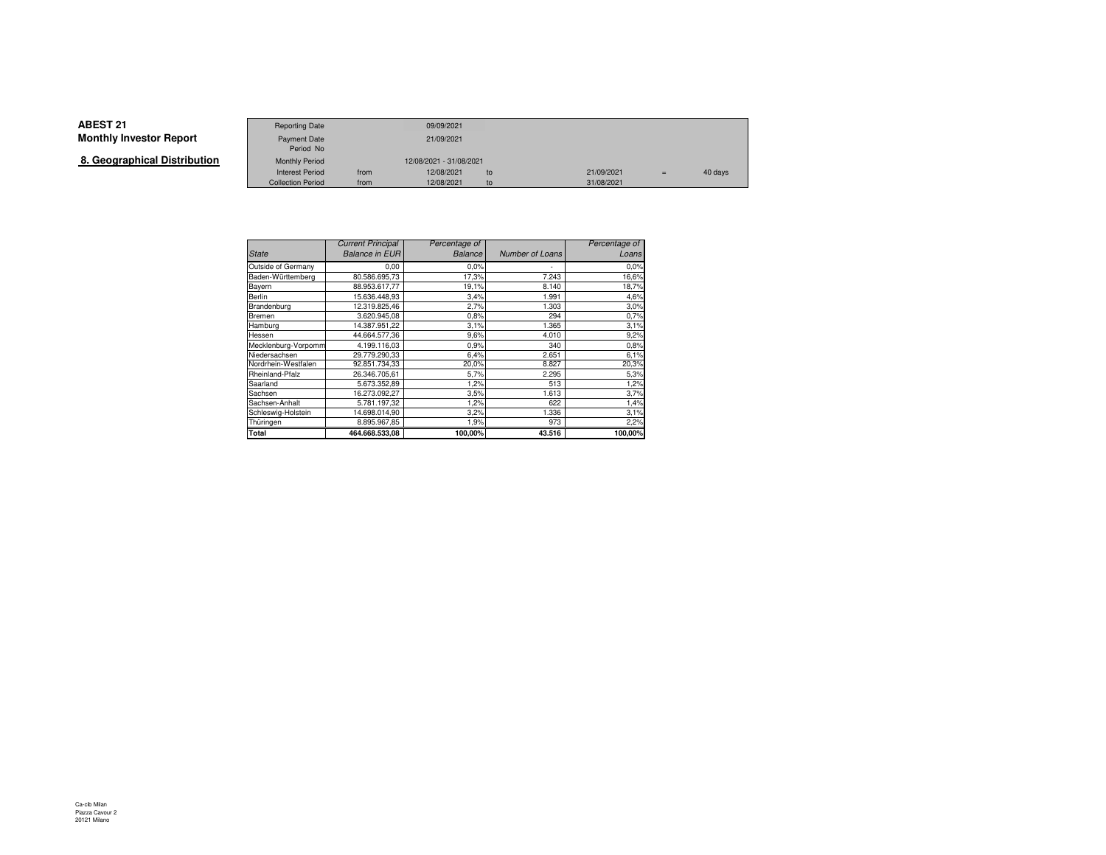**8. Geographical Distribution**

|                      | <b>Reporting Date</b>    |      | 09/09/2021              |    |            |     |         |
|----------------------|--------------------------|------|-------------------------|----|------------|-----|---------|
| Investor Report      | Payment Date             |      | 21/09/2021              |    |            |     |         |
|                      | Period No                |      |                         |    |            |     |         |
| aphical Distribution | <b>Monthly Period</b>    |      | 12/08/2021 - 31/08/2021 |    |            |     |         |
|                      | <b>Interest Period</b>   | from | 12/08/2021              | to | 21/09/2021 | $=$ | 40 days |
|                      | <b>Collection Period</b> | from | 12/08/2021              | to | 31/08/2021 |     |         |

|                     | <b>Current Principal</b> | Percentage of  |                 | Percentage of |
|---------------------|--------------------------|----------------|-----------------|---------------|
| <b>State</b>        | <b>Balance in EUR</b>    | <b>Balance</b> | Number of Loans | Loans         |
| Outside of Germany  | 0,00                     | 0.0%           | ٠               | 0.0%          |
| Baden-Württemberg   | 80.586.695,73            | 17,3%          | 7.243           | 16,6%         |
| Bayern              | 88.953.617,77            | 19,1%          | 8.140           | 18,7%         |
| Berlin              | 15.636.448.93            | 3,4%           | 1.991           | 4,6%          |
| Brandenburg         | 12.319.825,46            | 2,7%           | 1.303           | 3,0%          |
| <b>Bremen</b>       | 3.620.945,08             | 0,8%           | 294             | 0,7%          |
| Hamburg             | 14.387.951,22            | 3,1%           | 1.365           | 3,1%          |
| Hessen              | 44.664.577.36            | 9,6%           | 4.010           | 9,2%          |
| Mecklenburg-Vorpomm | 4.199.116.03             | 0,9%           | 340             | 0,8%          |
| Niedersachsen       | 29.779.290.33            | 6,4%           | 2.651           | 6,1%          |
| Nordrhein-Westfalen | 92.851.734,33            | 20,0%          | 8.827           | 20,3%         |
| Rheinland-Pfalz     | 26.346.705,61            | 5,7%           | 2.295           | 5,3%          |
| Saarland            | 5.673.352,89             | 1,2%           | 513             | 1,2%          |
| Sachsen             | 16.273.092,27            | 3,5%           | 1.613           | 3,7%          |
| Sachsen-Anhalt      | 5.781.197,32             | 1,2%           | 622             | 1,4%          |
| Schleswig-Holstein  | 14.698.014.90            | 3,2%           | 1.336           | 3,1%          |
| Thüringen           | 8.895.967.85             | 1,9%           | 973             | 2,2%          |
| <b>Total</b>        | 464.668.533.08           | 100.00%        | 43.516          | 100,00%       |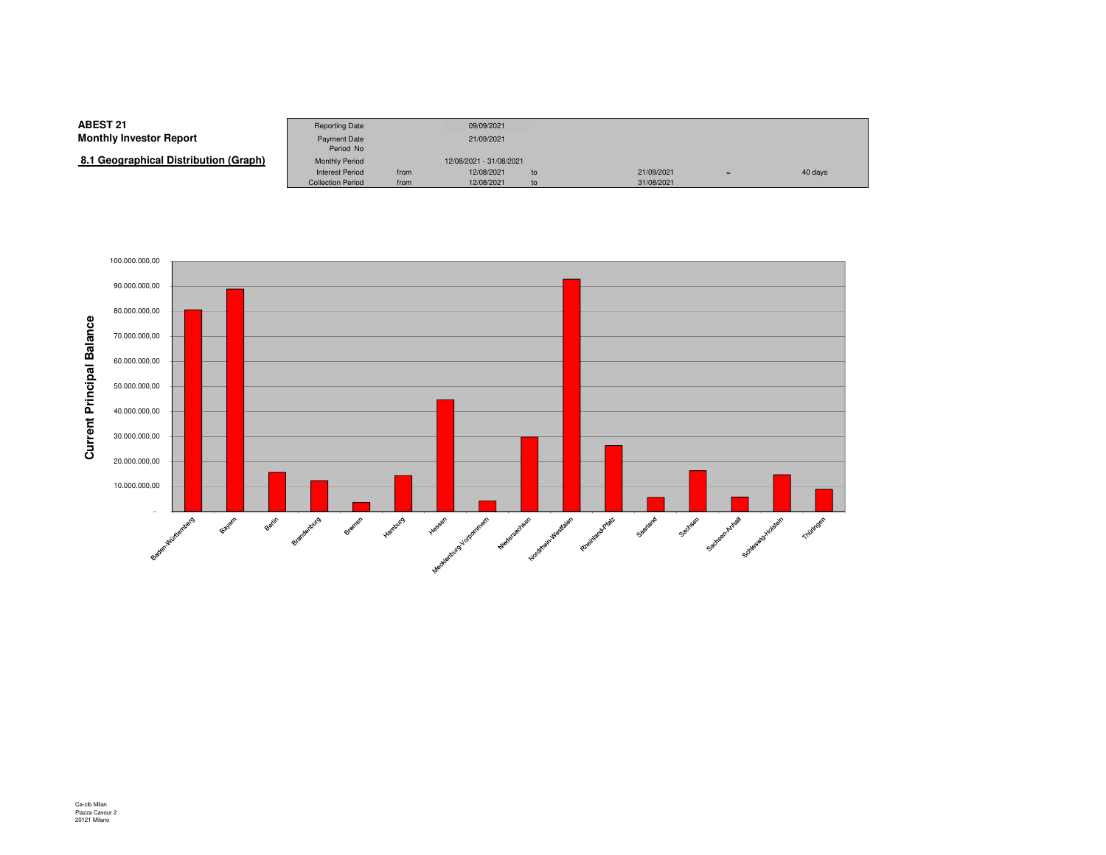**8.1 Geographical Distribution (Graph)**

|                                | <b>Reporting Date</b>            |      | 09/09/2021              |    |            |     |         |
|--------------------------------|----------------------------------|------|-------------------------|----|------------|-----|---------|
| Investor Report                | <b>Payment Date</b><br>Period No |      | 21/09/2021              |    |            |     |         |
| (Graphical Distribution (Graph | <b>Monthly Period</b>            |      | 12/08/2021 - 31/08/2021 |    |            |     |         |
|                                | <b>Interest Period</b>           | from | 12/08/2021              | to | 21/09/2021 | $=$ | 40 days |
|                                | <b>Collection Period</b>         | from | 12/08/2021              | to | 31/08/2021 |     |         |

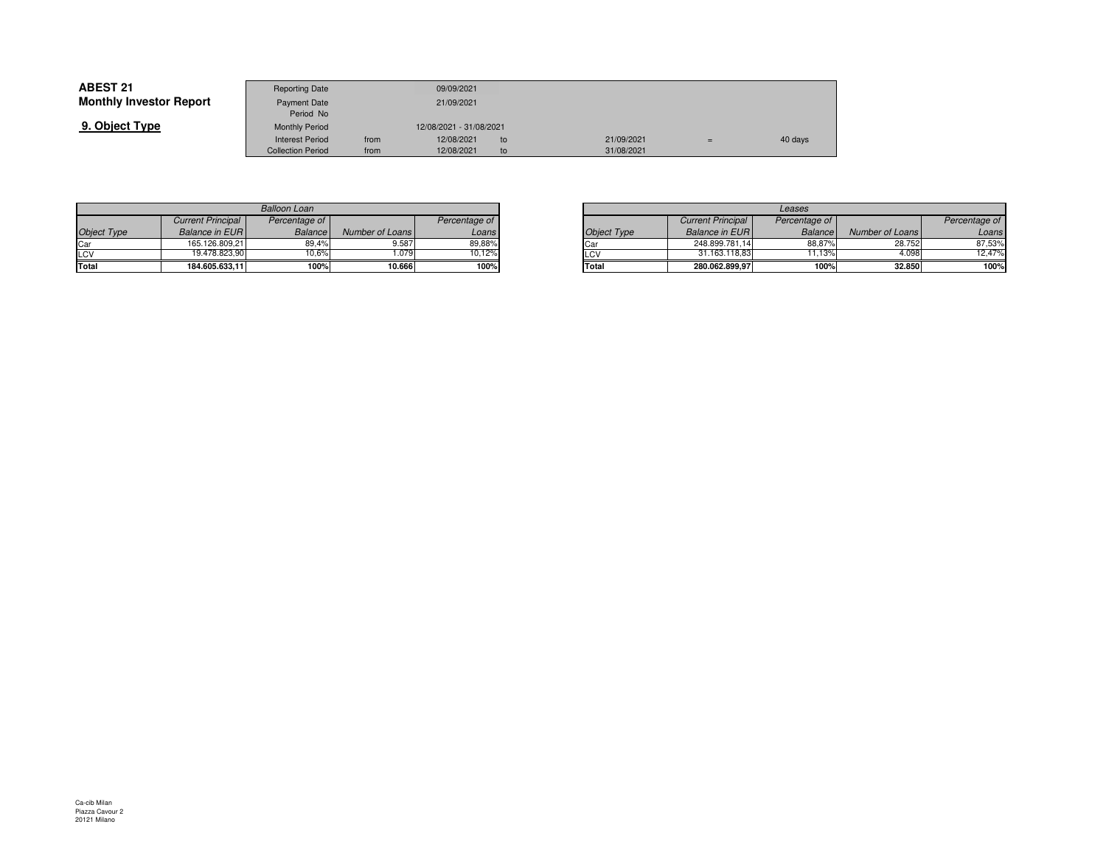| <b>ABEST 21</b>                | <b>Reporting Date</b>     |      | 09/09/2021              |    |            |         |
|--------------------------------|---------------------------|------|-------------------------|----|------------|---------|
| <b>Monthly Investor Report</b> | Payment Date<br>Period No |      | 21/09/2021              |    |            |         |
| 9. Object Type                 | <b>Monthly Period</b>     |      | 12/08/2021 - 31/08/2021 |    |            |         |
|                                | <b>Interest Period</b>    | from | 12/08/2021              | to | 21/09/2021 | 40 days |
|                                | <b>Collection Period</b>  | from | 12/08/2021              | to | 31/08/2021 |         |

| <b>Balloon Loan</b> |                          |                |                 |               |  |  |  |  |  |  |
|---------------------|--------------------------|----------------|-----------------|---------------|--|--|--|--|--|--|
|                     | <b>Current Principal</b> | Percentage of  |                 | Percentage of |  |  |  |  |  |  |
| <b>Object Type</b>  | <b>Balance in EUR</b>    | <b>Balance</b> | Number of Loans | Loans         |  |  |  |  |  |  |
| Car                 | 165.126.809,21           | 89.4%          | 9.587           | 89,88%        |  |  |  |  |  |  |
| LCV                 | 19.478.823.90            | 10.6%          | 1.079           | 10.12%        |  |  |  |  |  |  |
| Total               | 184.605.633.11           | 100%           | 10.666          | 100%          |  |  |  |  |  |  |

|       |                 |               |  | Leases             |                          |                |                 |               |  |  |
|-------|-----------------|---------------|--|--------------------|--------------------------|----------------|-----------------|---------------|--|--|
| ie of |                 | Percentage of |  |                    | <b>Current Principal</b> | Percentage of  |                 | Percentage of |  |  |
| ance  | Number of Loans | Loans         |  | <b>Object Type</b> | <b>Balance in EURI</b>   | <b>Balance</b> | Number of Loans |               |  |  |
| 19,4% | 9.587           | 89,88%        |  | -Car               | 248.899.781,14           | 88.87%         | 28.752          | 87.53%        |  |  |
| 0,6%  | 079             | 10.12%        |  | LCV                | 31.163.118.83            | 11.13%         | 4.098           | 12.47%        |  |  |
| 100%  | 10.666          | 100%          |  | Total              | 280.062.899.97           | 100%           | 32.850          |               |  |  |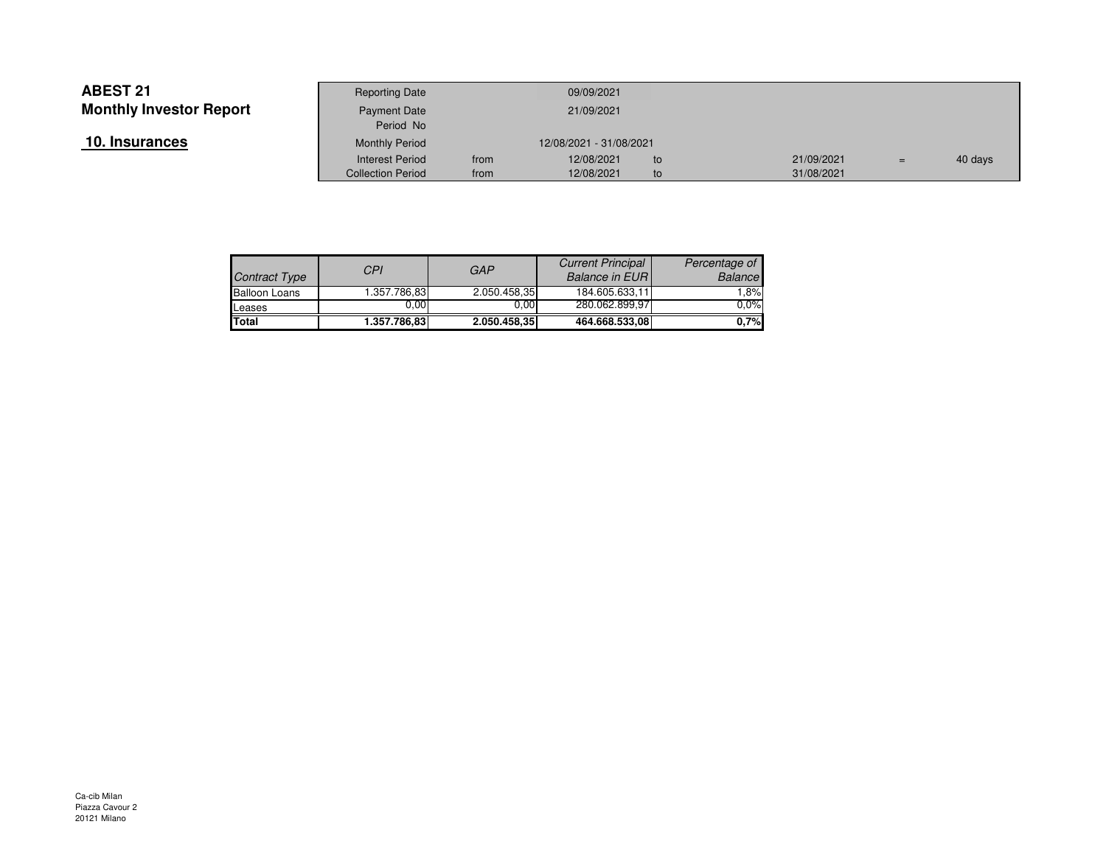| 10. Insurances |  |
|----------------|--|
|----------------|--|

|                    | <b>Reporting Date</b>     |      | 09/09/2021              |     |            |     |         |
|--------------------|---------------------------|------|-------------------------|-----|------------|-----|---------|
| Investor Report    | Payment Date<br>Period No |      | 21/09/2021              |     |            |     |         |
| ances <sup>.</sup> | <b>Monthly Period</b>     |      | 12/08/2021 - 31/08/2021 |     |            |     |         |
|                    | <b>Interest Period</b>    | from | 12/08/2021              | to. | 21/09/2021 | $=$ | 40 days |
|                    | <b>Collection Period</b>  | from | 12/08/2021              | to  | 31/08/2021 |     |         |

| Contract Type        | CPI           | GAP          | <b>Current Principal</b><br><b>Balance in EURI</b> | Percentage of<br><b>Balance</b> |
|----------------------|---------------|--------------|----------------------------------------------------|---------------------------------|
| <b>Balloon Loans</b> | 1.357.786.831 | 2.050.458,35 | 184.605.633.11                                     | $1.8\%$                         |
| Leases               | 0.00          | 0.00         | 280.062.899,97                                     | 0.0%                            |
| <b>ITotal</b>        | 1.357.786.83  | 2.050.458,35 | 464.668.533,08                                     | 0.7%                            |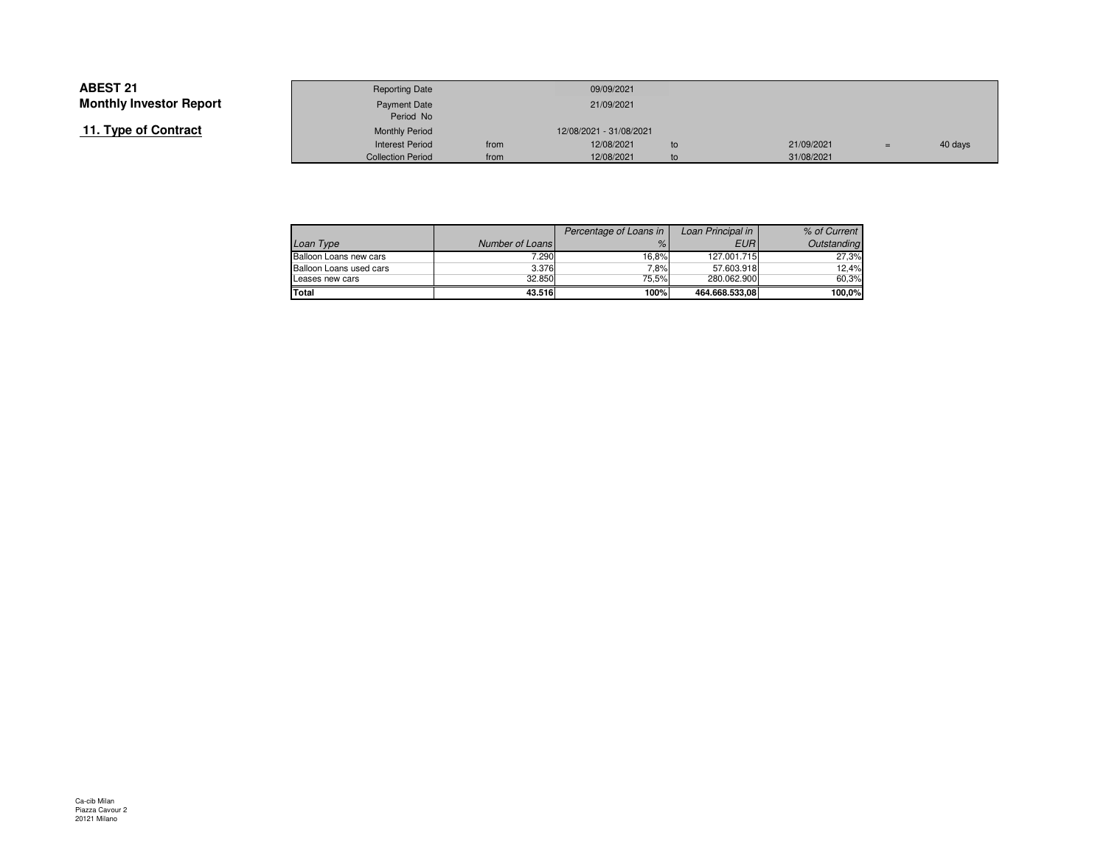# **11. Type of Contract**

|                 | <b>Reporting Date</b>    |      | 09/09/2021              |    |            |     |         |
|-----------------|--------------------------|------|-------------------------|----|------------|-----|---------|
| Investor Report | Payment Date             |      | 21/09/2021              |    |            |     |         |
|                 | Period No                |      |                         |    |            |     |         |
| of Contract     | <b>Monthly Period</b>    |      | 12/08/2021 - 31/08/2021 |    |            |     |         |
|                 | <b>Interest Period</b>   | from | 12/08/2021              | to | 21/09/2021 | $=$ | 40 days |
|                 | <b>Collection Period</b> | from | 12/08/2021              | to | 31/08/2021 |     |         |

|                         |                 | Percentage of Loans in | Loan Principal in | % of Current |
|-------------------------|-----------------|------------------------|-------------------|--------------|
| Loan Type               | Number of Loans | $\%$                   | EURI              | Outstanding  |
| Balloon Loans new cars  | 7.290           | 16.8%                  | 127.001.715       | 27.3%        |
| Balloon Loans used cars | 3.376           | 7.8%                   | 57.603.918        | 12.4%        |
| Leases new cars         | 32.850          | 75.5%                  | 280.062.900       | 60.3%        |
| Total                   | 43.516          | 100%                   | 464.668.533.08    | 100.0%       |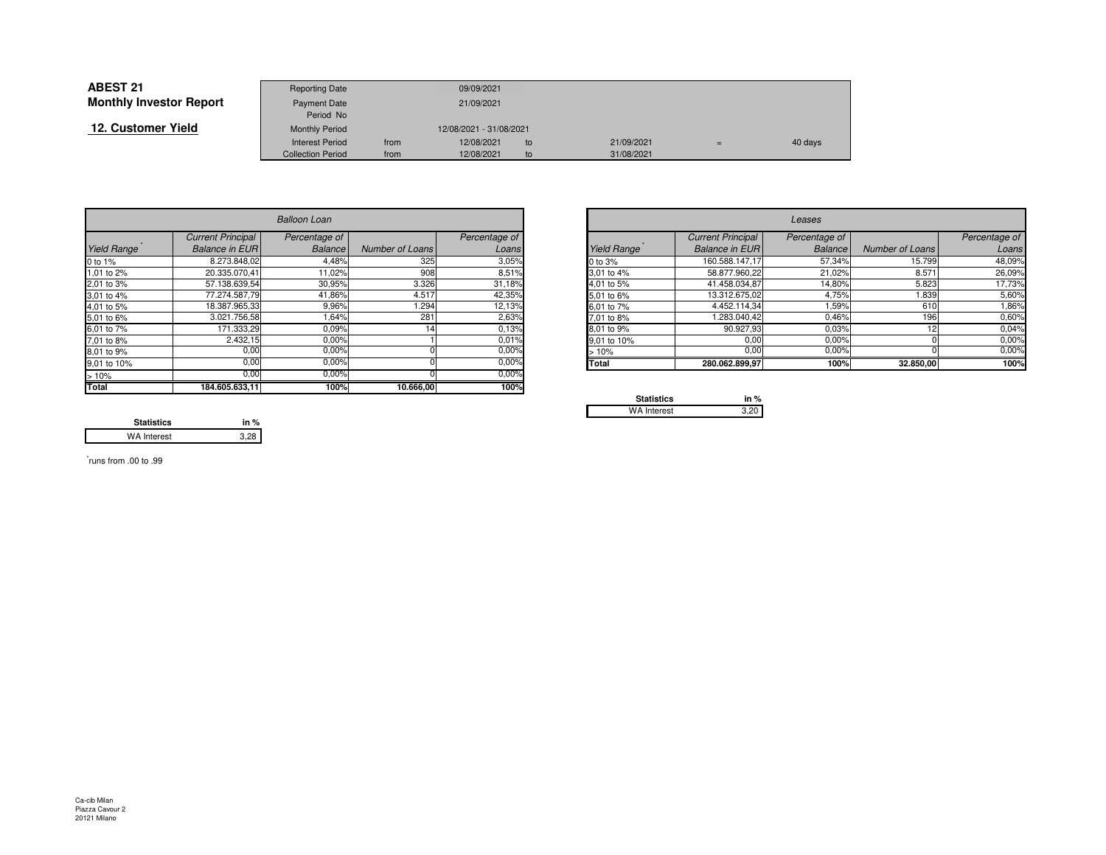| <b>ABEST 21</b>                | <b>Reporting Date</b>    |      | 09/09/2021              |    |            |     |         |
|--------------------------------|--------------------------|------|-------------------------|----|------------|-----|---------|
| <b>Monthly Investor Report</b> | <b>Payment Date</b>      |      | 21/09/2021              |    |            |     |         |
|                                | Period No                |      |                         |    |            |     |         |
| 12. Customer Yield             | <b>Monthly Period</b>    |      | 12/08/2021 - 31/08/2021 |    |            |     |         |
|                                | <b>Interest Period</b>   | from | 12/08/2021              | to | 21/09/2021 | $=$ | 40 days |
|                                | <b>Collection Period</b> | from | 12/08/2021              | to | 31/08/2021 |     |         |

|             | <b>Balloon Loan</b>      |                |                 |               |                                                 | Leases                   |                |                 |               |  |
|-------------|--------------------------|----------------|-----------------|---------------|-------------------------------------------------|--------------------------|----------------|-----------------|---------------|--|
|             | <b>Current Principal</b> | Percentage of  |                 | Percentage of |                                                 | <b>Current Principal</b> | Percentage of  |                 | Percentage of |  |
| Yield Range | <b>Balance in EURI</b>   | <b>Balance</b> | Number of Loans | Loans         | Yield Range                                     | <b>Balance in EURI</b>   | <b>Balance</b> | Number of Loans | Loans         |  |
| 0 to 1%     | 8.273.848.02             | 4,48%          | 325             | 3,05%         | 0 to 3%                                         | 160.588.147,17           | 57,34%         | 15.799          | 48,09%        |  |
| 1,01 to 2%  | 20.335.070.41            | 11,02%         | 908             | 8,51%         | 3.01 to 4%                                      | 58.877.960.22            | 21,02%         | 8.571           | 26,09%        |  |
| 2,01 to 3%  | 57.138.639,54            | 30,95%         | 3.326           | 31,18%        | 4,01 to 5%                                      | 41.458.034,87            | 14,80%         | 5.823           | 17,73%        |  |
| 3,01 to 4%  | 77.274.587,79            | 41,86%         | 4.517           | 42,35%        | 5,01 to 6%                                      | 13.312.675,02            | 4,75%          | .839            | 5,60%         |  |
| 4,01 to 5%  | 18.387.965,33            | 9,96%          | .294            | 12,13%        | 6.01 to 7%                                      | 4.452.114.34             | 1,59%          | 610             | 1,86%         |  |
| 5,01 to 6%  | 3.021.756,58             | 1,64%          | 281             | 2,63%         | 7.01 to 8%                                      | 1.283.040,42             | 0.46%          | 196             | 0,60%         |  |
| 6,01 to 7%  | 171.333,29               | 0.09%          |                 | 0.13%         | 8.01 to 9%                                      | 90.927,93                | 0.03%          |                 | 0,04%         |  |
| 7,01 to 8%  | 2.432,15                 | 0,00%          |                 | 0.01%         | 9.01 to 10%                                     | 0,00                     | 0.00%          |                 | 0,00%         |  |
| 8,01 to 9%  | 0,00                     | 0,00%          |                 | 0.00%         | >10%                                            | 0,00                     | 0,00%          |                 | 0,00%         |  |
| 9,01 to 10% | 0,00                     | 0.00%          |                 | 0.00%         | <b>Total</b>                                    | 280.062.899,97           | 100%           | 32.850,00       | 100%          |  |
| >10%        | 0,00                     | 0,00%          |                 | $0.00\%$      |                                                 |                          |                |                 |               |  |
| Total       | 184.605.633,11           | 100%           | 10.666,00       | 100%          | the contract of the contract of the contract of |                          |                |                 |               |  |

| <b>Balloon Loan</b> |                          |                |                 |               |
|---------------------|--------------------------|----------------|-----------------|---------------|
|                     | <b>Current Principal</b> | Percentage of  |                 | Percentage of |
| Range               | <b>Balance in EURI</b>   | <b>Balance</b> | Number of Loans | Loans         |
|                     | 8.273.848,02             | 4,48%          | 325             | 3,05%         |
| o 2%                | 20.335.070.41            | 11,02%         | 908             | 8,51%         |
| о 3%                | 57.138.639,54            | 30,95%         | 3.326           | 31,18%        |
| o 4%                | 77.274.587,79            | 41,86%         | 4.517           | 42,35%        |
| o 5%                | 18.387.965,33            | 9,96%          | 1.294           | 12,13%        |
| o 6%                | 3.021.756,58             | 1,64%          | 281             | 2,63%         |
| o 7%                | 171.333,29               | 0.09%          |                 | 0,13%         |
| o 8%                | 2.432,15                 | 0,00%          |                 | 0,01%         |
| o 9%                | $0,\overline{00}$        | 0,00%          |                 | 0,00%         |
| o 10%               | 0,00                     | 0,00%          |                 | 0,00%         |
|                     | $\overline{\phantom{a}}$ | 0.000          |                 | AA            |

| <b>Statistics</b>  | in $%$ |
|--------------------|--------|
| <b>WA Interest</b> |        |

**Statistics in %** $3,28$ WA Interest

\* runs from .00 to .99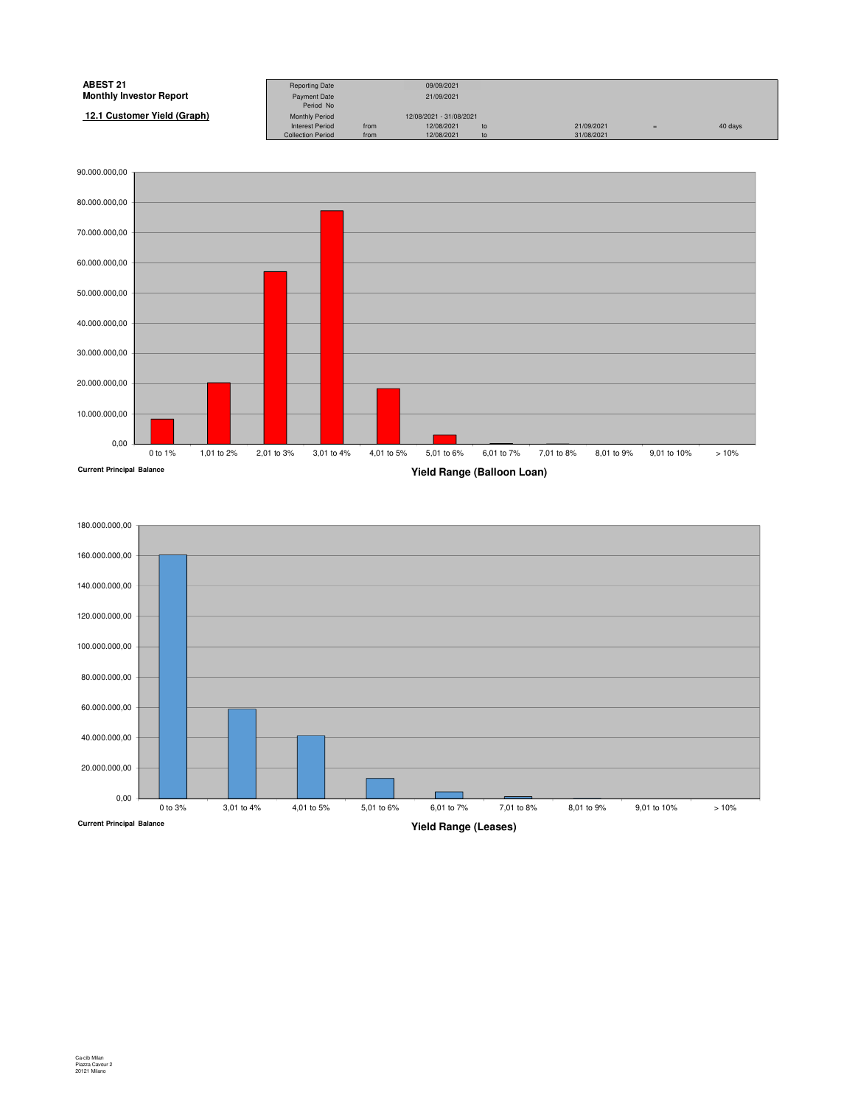| <b>ABEST 21</b>                | <b>Reporting Date</b>    |      | 09/09/2021              |    |            |         |
|--------------------------------|--------------------------|------|-------------------------|----|------------|---------|
| <b>Monthly Investor Report</b> | <b>Payment Date</b>      |      | 21/09/2021              |    |            |         |
|                                | Period No                |      |                         |    |            |         |
| 12.1 Customer Yield (Graph)    | <b>Monthly Period</b>    |      | 12/08/2021 - 31/08/2021 |    |            |         |
|                                | <b>Interest Period</b>   | from | 12/08/2021              | to | 21/09/2021 | 40 days |
|                                | <b>Collection Period</b> | from | 12/08/2021              | to | 31/08/2021 |         |
|                                |                          |      |                         |    |            |         |



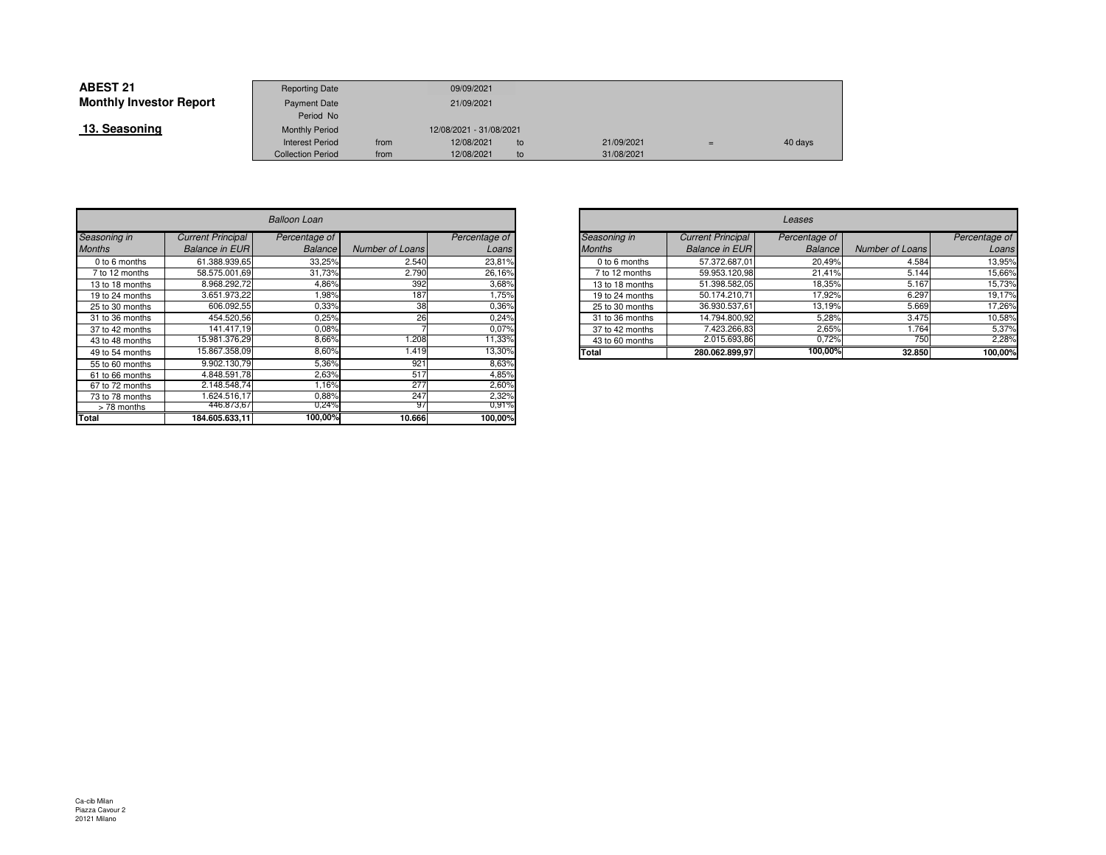| <b>ABEST 21</b>                | <b>Reporting Date</b>    |      | 09/09/2021              |     |            |     |         |
|--------------------------------|--------------------------|------|-------------------------|-----|------------|-----|---------|
| <b>Monthly Investor Report</b> | <b>Payment Date</b>      |      | 21/09/2021              |     |            |     |         |
|                                | Period No                |      |                         |     |            |     |         |
| 13. Seasoning                  | <b>Monthly Period</b>    |      | 12/08/2021 - 31/08/2021 |     |            |     |         |
|                                | <b>Interest Period</b>   | from | 12/08/2021              | to. | 21/09/2021 | $=$ | 40 days |
|                                | <b>Collection Period</b> | from | 12/08/2021              | to  | 31/08/2021 |     |         |

|                 | <b>Balloon Loan</b>      |                |                 |               |  |  |  |  |  |  |
|-----------------|--------------------------|----------------|-----------------|---------------|--|--|--|--|--|--|
| Seasoning in    | <b>Current Principal</b> | Percentage of  |                 | Percentage of |  |  |  |  |  |  |
| <b>Months</b>   | <b>Balance in EUR</b>    | <b>Balance</b> | Number of Loans | Loans         |  |  |  |  |  |  |
| 0 to 6 months   | 61.388.939.65            | 33,25%         | 2.540           | 23,81%        |  |  |  |  |  |  |
| 7 to 12 months  | 58.575.001.69            | 31,73%         | 2.790           | 26,16%        |  |  |  |  |  |  |
| 13 to 18 months | 8.968.292.72             | 4.86%          | 392             | 3,68%         |  |  |  |  |  |  |
| 19 to 24 months | 3.651.973.22             | 1.98%          | 187             | 1,75%         |  |  |  |  |  |  |
| 25 to 30 months | 606.092.55               | 0.33%          | 38              | 0,36%         |  |  |  |  |  |  |
| 31 to 36 months | 454.520.56               | 0,25%          | 26              | 0,24%         |  |  |  |  |  |  |
| 37 to 42 months | 141.417.19               | 0,08%          |                 | 0,07%         |  |  |  |  |  |  |
| 43 to 48 months | 15.981.376.29            | 8,66%          | 1.208           | 11,33%        |  |  |  |  |  |  |
| 49 to 54 months | 15.867.358,09            | 8,60%          | 1.419           | 13,30%        |  |  |  |  |  |  |
| 55 to 60 months | 9.902.130.79             | 5,36%          | 921             | 8,63%         |  |  |  |  |  |  |
| 61 to 66 months | 4.848.591.78             | 2,63%          | 517             | 4,85%         |  |  |  |  |  |  |
| 67 to 72 months | 2.148.548,74             | 1,16%          | 277             | 2,60%         |  |  |  |  |  |  |
| 73 to 78 months | 1.624.516.17             | 0,88%          | 247             | 2,32%         |  |  |  |  |  |  |
| > 78 months     | 446.873,67               | 0,24%          | 97              | $0.91\%$      |  |  |  |  |  |  |
| Total           | 184.605.633.11           | 100,00%        | 10.666          | 100,00%       |  |  |  |  |  |  |

| n                    |                 |               |               | Leases          |                          |                |                 |               |  |
|----------------------|-----------------|---------------|---------------|-----------------|--------------------------|----------------|-----------------|---------------|--|
| ie of                |                 | Percentage of |               | Seasoning in    | <b>Current Principal</b> | Percentage of  |                 | Percentage of |  |
| ance                 | Number of Loans | Loans         | <b>Months</b> |                 | <b>Balance in EUR</b>    | <b>Balance</b> | Number of Loans | Loans         |  |
| 3,25%                | 2.540           | 23,81%        |               | 0 to 6 months   | 57.372.687,01            | 20.49%         | 4.584           | 13,95%        |  |
| ,73%                 | 2.790           | 26,16%        |               | 7 to 12 months  | 59.953.120,98            | 21,41%         | 5.144           | 15,66%        |  |
| ,86%                 | 392             | 3,68%         |               | 13 to 18 months | 51.398.582,05            | 18,35%         | 5.167           | 15,73%        |  |
| ,98%                 | 187             | .75%          |               | 19 to 24 months | 50.174.210,71            | 17,92%         | 6.297           | 19,17%        |  |
| ,33%                 | 38              | 0.36%         |               | 25 to 30 months | 36.930.537,61            | 13,19%         | 5.669           | 17,26%        |  |
| ,25%                 | 26              | 0,24%         |               | 31 to 36 months | 14.794.800,92            | 5,28%          | 3.475           | 10,58%        |  |
| 0,08%                |                 | 0,07%         |               | 37 to 42 months | 7.423.266,83             | 2,65%          | 1.764           | 5,37%         |  |
| 3,66%                | .208            | 11,33%        |               | 43 to 60 months | 2.015.693.86             | 0,72%          | 750             | 2,28%         |  |
| 3,60%                | 1.419           | 13,30%        | Total         |                 | 280.062.899,97           | 100,00%        | 32.850          | 100,00%       |  |
| $\sim$ 0.00 $\prime$ | $\sim$          | 0.0001        |               |                 |                          |                |                 |               |  |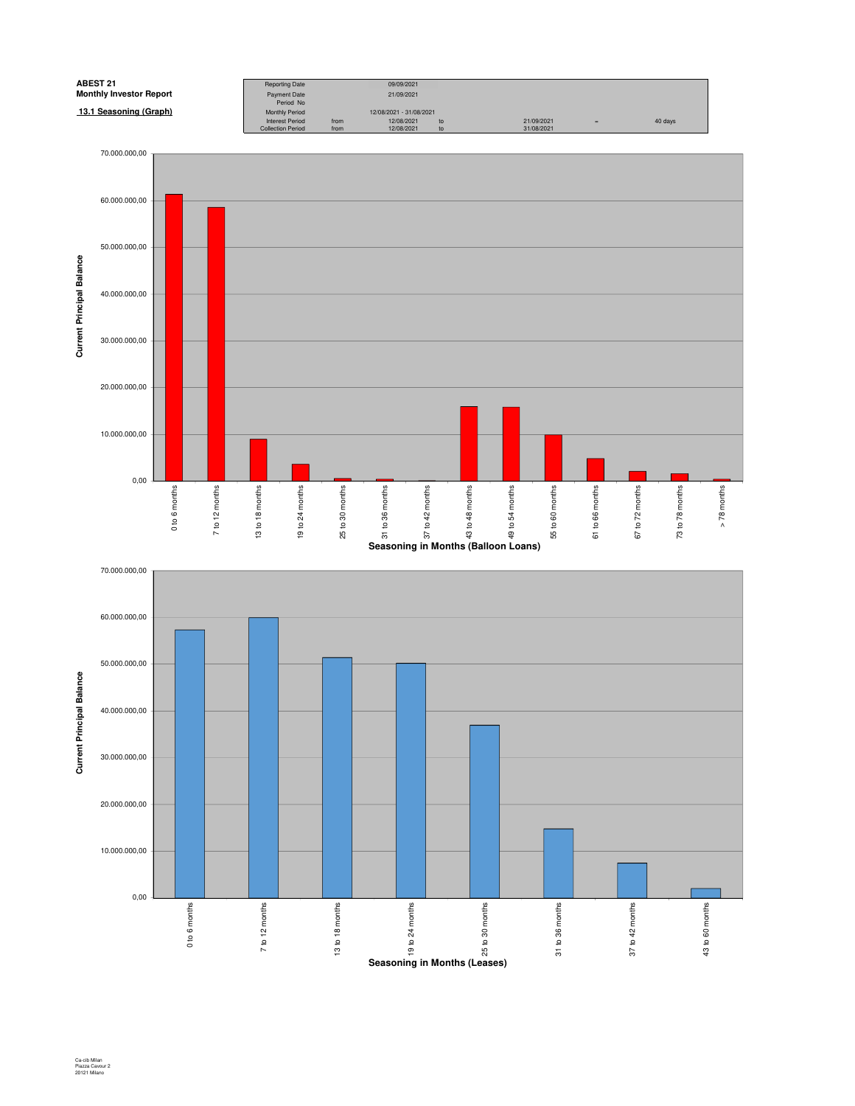

**Seasoning in Months (Leases)**

Ca-cib Milan Piazza Cavour 2 20121 Milano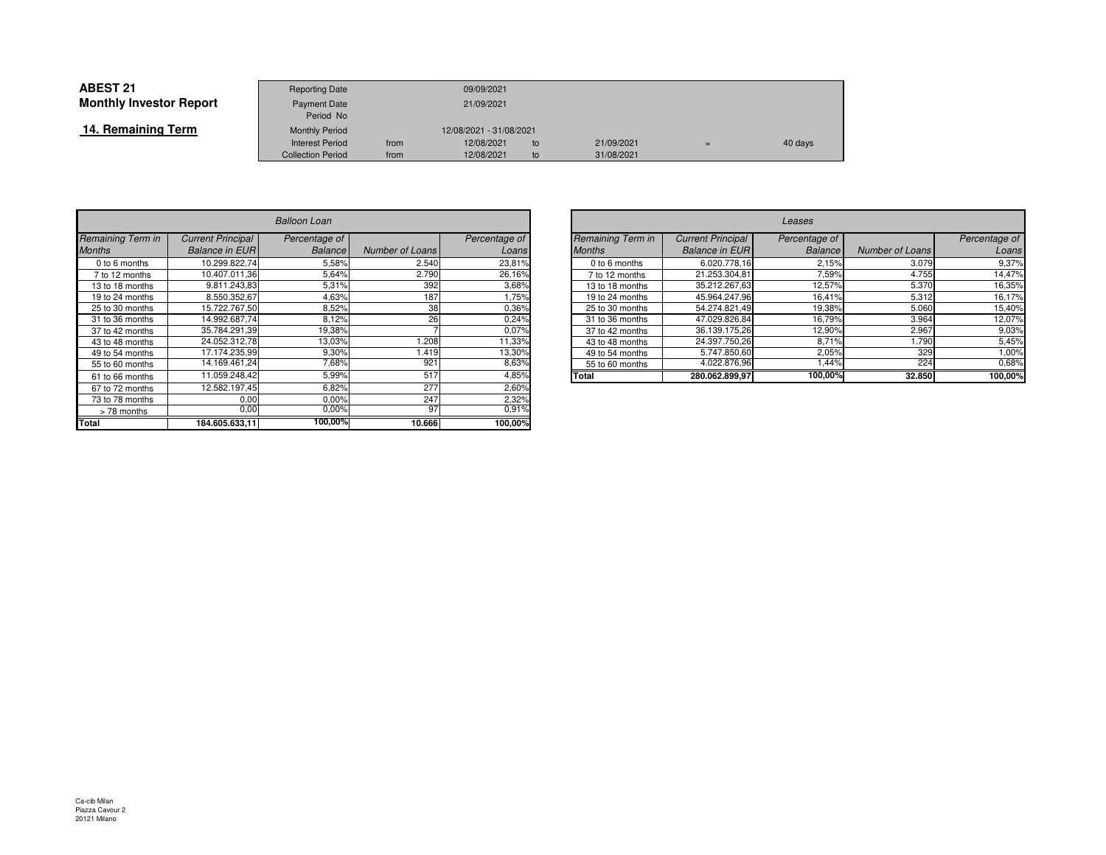| <b>ABEST 21</b>                | <b>Reporting Date</b>    |      | 09/09/2021              |    |            |     |         |
|--------------------------------|--------------------------|------|-------------------------|----|------------|-----|---------|
| <b>Monthly Investor Report</b> | <b>Payment Date</b>      |      | 21/09/2021              |    |            |     |         |
|                                | Period No                |      |                         |    |            |     |         |
| 14. Remaining Term             | <b>Monthly Period</b>    |      | 12/08/2021 - 31/08/2021 |    |            |     |         |
|                                | <b>Interest Period</b>   | from | 12/08/2021              | to | 21/09/2021 | $=$ | 40 days |
|                                | <b>Collection Period</b> | from | 12/08/2021              | to | 31/08/2021 |     |         |

|                   | <b>Balloon Loan</b>      |                |                        |               |  |  |  |  |  |
|-------------------|--------------------------|----------------|------------------------|---------------|--|--|--|--|--|
| Remaining Term in | <b>Current Principal</b> | Percentage of  |                        | Percentage of |  |  |  |  |  |
| <b>Months</b>     | <b>Balance in EUR</b>    | <b>Balance</b> | <b>Number of Loans</b> | Loans         |  |  |  |  |  |
| 0 to 6 months     | 10.299.822.74            | 5,58%          | 2.540                  | 23,81%        |  |  |  |  |  |
| 7 to 12 months    | 10.407.011.36            | 5,64%          | 2.790                  | 26,16%        |  |  |  |  |  |
| 13 to 18 months   | 9.811.243.83             | 5,31%          | 392                    | 3,68%         |  |  |  |  |  |
| 19 to 24 months   | 8.550.352,67             | 4,63%          | 187                    | 1,75%         |  |  |  |  |  |
| 25 to 30 months   | 15.722.767.50            | 8,52%          | 38                     | 0,36%         |  |  |  |  |  |
| 31 to 36 months   | 14.992.687.74            | 8,12%          | 26                     | 0,24%         |  |  |  |  |  |
| 37 to 42 months   | 35.784.291,39            | 19,38%         |                        | 0,07%         |  |  |  |  |  |
| 43 to 48 months   | 24.052.312.78            | 13,03%         | 1.208                  | 11,33%        |  |  |  |  |  |
| 49 to 54 months   | 17.174.235.99            | 9,30%          | 1.419                  | 13,30%        |  |  |  |  |  |
| 55 to 60 months   | 14.169.461,24            | 7,68%          | 921                    | 8,63%         |  |  |  |  |  |
| 61 to 66 months   | 11.059.248.42            | 5,99%          | 517                    | 4,85%         |  |  |  |  |  |
| 67 to 72 months   | 12.582.197,45            | 6,82%          | 277                    | 2,60%         |  |  |  |  |  |
| 73 to 78 months   | 0,00                     | 0.00%          | 247                    | 2,32%         |  |  |  |  |  |
| >78 months        | 0,00                     | 0,00%          | 97                     | 0,91%         |  |  |  |  |  |
| <b>Total</b>      | 184.605.633,11           | 100,00%        | 10.666                 | 100,00%       |  |  |  |  |  |

| $\overline{r}$ |                 |               |                          | Leases          |                          |                |                 |               |  |  |
|----------------|-----------------|---------------|--------------------------|-----------------|--------------------------|----------------|-----------------|---------------|--|--|
| ie of          |                 | Percentage of | <b>Remaining Term in</b> |                 | <b>Current Principal</b> | Percentage of  |                 | Percentage of |  |  |
| ance           | Number of Loans | Loans         | <b>Months</b>            |                 | <b>Balance in EURI</b>   | <b>Balance</b> | Number of Loans | Loans         |  |  |
| 5,58%          | 2.540           | 23.81%        | 0 to 6 months            |                 | 6.020.778.16             | 2.15%          | 3.079           | 9,37%         |  |  |
| 5,64%          | 2.790           | 26,16%        |                          | 7 to 12 months  | 21.253.304,81            | 7.59%          | 4.755           | 14,47%        |  |  |
| 5,31%          | 392             | 3,68%         |                          | 13 to 18 months | 35.212.267.63            | 12,57%         | 5.370           | 16,35%        |  |  |
| 1,63%          | 187             | .75%          |                          | 19 to 24 months | 45.964.247.96            | 16,41%         | 5.312           | 16,17%        |  |  |
| 3,52%          | 38              | 0.36%         |                          | 25 to 30 months | 54.274.821.49            | 19,38%         | 5.060           | 15,40%        |  |  |
| 3,12%          | 26              | 0,24%         |                          | 31 to 36 months | 47.029.826,84            | 16,79%         | 3.964           | 12,07%        |  |  |
| ,38%           |                 | 0,07%         |                          | 37 to 42 months | 36.139.175.26            | 12,90%         | 2.967           | 9,03%         |  |  |
| 3,03%          | .208            | 11,33%        |                          | 43 to 48 months | 24.397.750,26            | 8,71%          | .790            | 5,45%         |  |  |
| ,30%           | 1.419           | 13,30%        |                          | 49 to 54 months | 5.747.850.60             | 2.05%          | 329             | 1,00%         |  |  |
| $.68\%$        | 921             | 8,63%         |                          | 55 to 60 months | 4.022.876.96             | .44%           | 224             | 0,68%         |  |  |
| $5.99\%$       | 517             | 4,85%         | <b>Total</b>             |                 | 280.062.899,97           | 100,00%        | 32.850          | 100,00%       |  |  |
| .              | $ -$            | - ---         |                          |                 |                          |                |                 |               |  |  |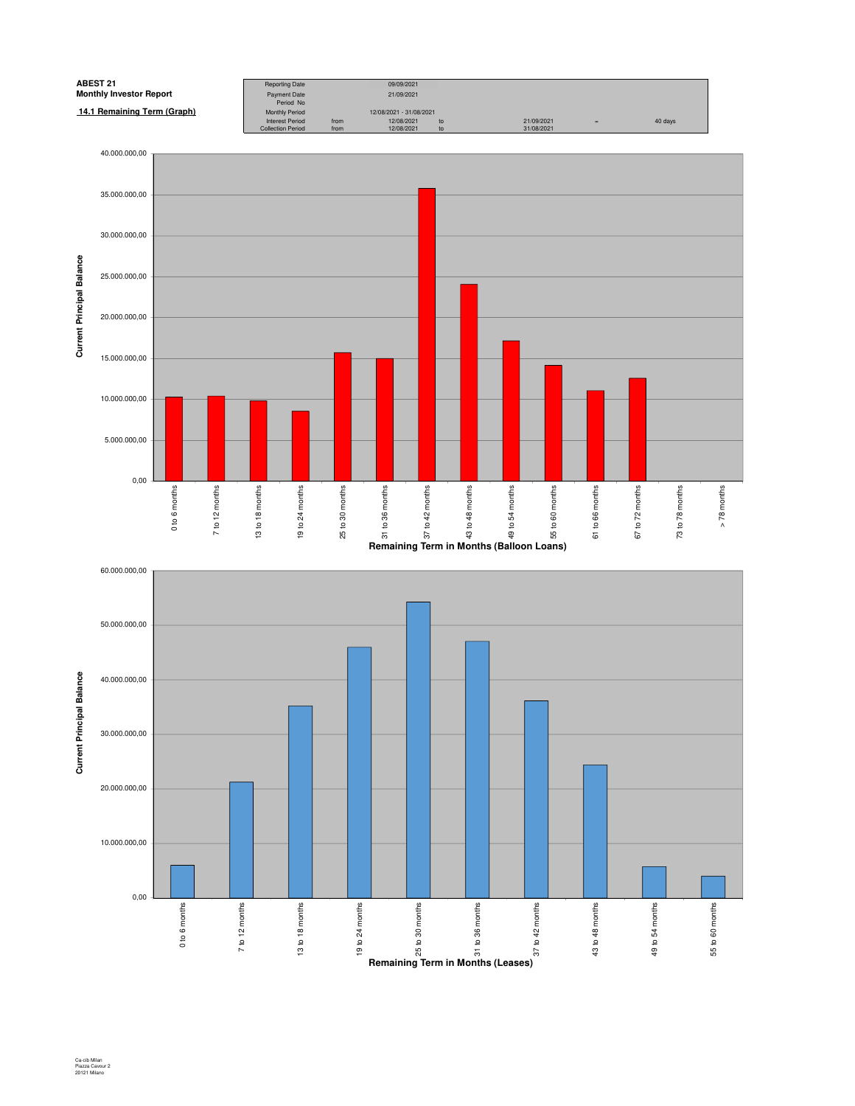

Ca-cib Milan Piazza Cavour 2 20121 Milano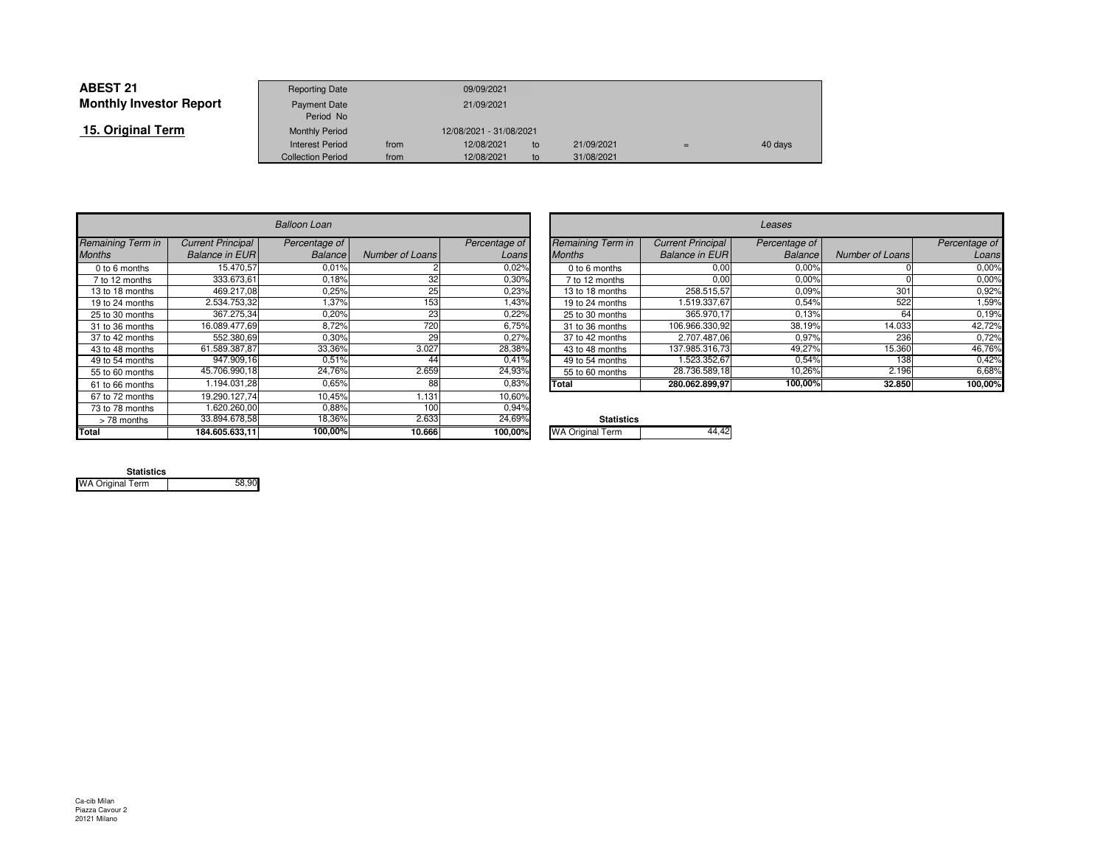| <b>ABEST 21</b>                | <b>Reporting Date</b>     |      | 09/09/2021              |    |            |     |         |
|--------------------------------|---------------------------|------|-------------------------|----|------------|-----|---------|
| <b>Monthly Investor Report</b> | Payment Date<br>Period No |      | 21/09/2021              |    |            |     |         |
| 15. Original Term              | <b>Monthly Period</b>     |      | 12/08/2021 - 31/08/2021 |    |            |     |         |
|                                | <b>Interest Period</b>    | from | 12/08/2021              | to | 21/09/2021 | $=$ | 40 days |
|                                | <b>Collection Period</b>  | from | 12/08/2021              | to | 31/08/2021 |     |         |

|                   | <b>Balloon Loan</b>      |               |                        |               |                         |  |  |  |
|-------------------|--------------------------|---------------|------------------------|---------------|-------------------------|--|--|--|
| Remaining Term in | <b>Current Principal</b> | Percentage of |                        | Percentage of | Remaining Term in       |  |  |  |
| <b>Months</b>     | <b>Balance in EUR</b>    | Balance       | <b>Number of Loans</b> | Loans         | <b>Months</b>           |  |  |  |
| 0 to 6 months     | 15.470,57                | 0.01%         |                        | 0.02%         | 0 to 6 months           |  |  |  |
| 7 to 12 months    | 333.673.61               | 0.18%         | 32                     | 0,30%         | 7 to 12 months          |  |  |  |
| 13 to 18 months   | 469.217.08               | 0,25%         | 25                     | 0,23%         | 13 to 18 months         |  |  |  |
| 19 to 24 months   | 2.534.753,32             | 1,37%         | 153                    | 1,43%         | 19 to 24 months         |  |  |  |
| 25 to 30 months   | 367.275,34               | 0,20%         | 23                     | 0,22%         | 25 to 30 months         |  |  |  |
| 31 to 36 months   | 16.089.477,69            | 8,72%         | 720                    | 6.75%         | 31 to 36 months         |  |  |  |
| 37 to 42 months   | 552.380.69               | 0,30%         | 29                     | 0,27%         | 37 to 42 months         |  |  |  |
| 43 to 48 months   | 61.589.387.87            | 33,36%        | 3.027                  | 28,38%        | 43 to 48 months         |  |  |  |
| 49 to 54 months   | 947.909.16               | 0.51%         | 44                     | 0.41%         | 49 to 54 months         |  |  |  |
| 55 to 60 months   | 45.706.990,18            | 24,76%        | 2.659                  | 24,93%        | 55 to 60 months         |  |  |  |
| 61 to 66 months   | 1.194.031.28             | 0.65%         | 88                     | 0.83%         | Total                   |  |  |  |
| 67 to 72 months   | 19.290.127.74            | 10,45%        | 1.131                  | 10,60%        |                         |  |  |  |
| 73 to 78 months   | 1.620.260.00             | 0.88%         | 100                    | 0,94%         |                         |  |  |  |
| > 78 months       | 33.894.678,58            | 18,36%        | 2.633                  | 24,69%        | <b>Statistics</b>       |  |  |  |
| Total             | 184.605.633,11           | 100,00%       | 10.666                 | 100,00%       | <b>WA Original Term</b> |  |  |  |

| n           |                 |               |                          |                          | Leases         |                 |               |
|-------------|-----------------|---------------|--------------------------|--------------------------|----------------|-----------------|---------------|
| <i>e of</i> |                 | Percentage of | <b>Remaining Term in</b> | <b>Current Principal</b> | Percentage of  |                 | Percentage of |
| ance        | Number of Loans | Loans         | <b>Months</b>            | <b>Balance in EUR</b>    | <b>Balance</b> | Number of Loans | Loans         |
| ,01%        |                 | 0,02%         | 0 to 6 months            | 0,00                     | 0,00%          |                 | 0,00%         |
| ,18%        | 32              | 0.30%         | 7 to 12 months           | 0,00                     | 0,00%          |                 | 0,00%         |
| ,25%        | 25              | 0,23%         | 13 to 18 months          | 258.515,57               | 0.09%          | 301             | 0,92%         |
| ,37%        | 153             | <b>43%</b>    | 19 to 24 months          | 1.519.337,67             | 0,54%          | 522             | 1,59%         |
| ,20%        | 23              | 0,22%         | 25 to 30 months          | 365.970,17               | 0.13%          | 64              | 0,19%         |
| 3,72%       | 720             | 6,75%         | 31 to 36 months          | 106.966.330,92           | 38,19%         | 14.033          | 42.72%        |
| ,30%        | 29              | 0,27%         | 37 to 42 months          | 2.707.487,06             | 0,97%          | 236             | 0,72%         |
| 36%         | 3.027           | 28,38%        | 43 to 48 months          | 137.985.316.73           | 49,27%         | 15.360          | 46,76%        |
| ,51%        | 44              | 0,41%         | 49 to 54 months          | 1.523.352.67             | 0.54%          | 138             | 0,42%         |
| .76%        | 2.659           | 24,93%        | 55 to 60 months          | 28.736.589,18            | 10,26%         | 2.196           | 6,68%         |
| 0.65%       | 88              | 0,83%         | <b>Total</b>             | 280.062.899.97           | 100,00%        | 32.850          | 100,00%       |
| ATO         | 4.404           | 100001        |                          |                          |                |                 |               |

| %. | <b>Statistics</b>       |  |
|----|-------------------------|--|
| ℅  | <b>WA Original Term</b> |  |
|    |                         |  |

| <b>Statistics</b>       |       |
|-------------------------|-------|
| <b>WA Original Term</b> | 58,90 |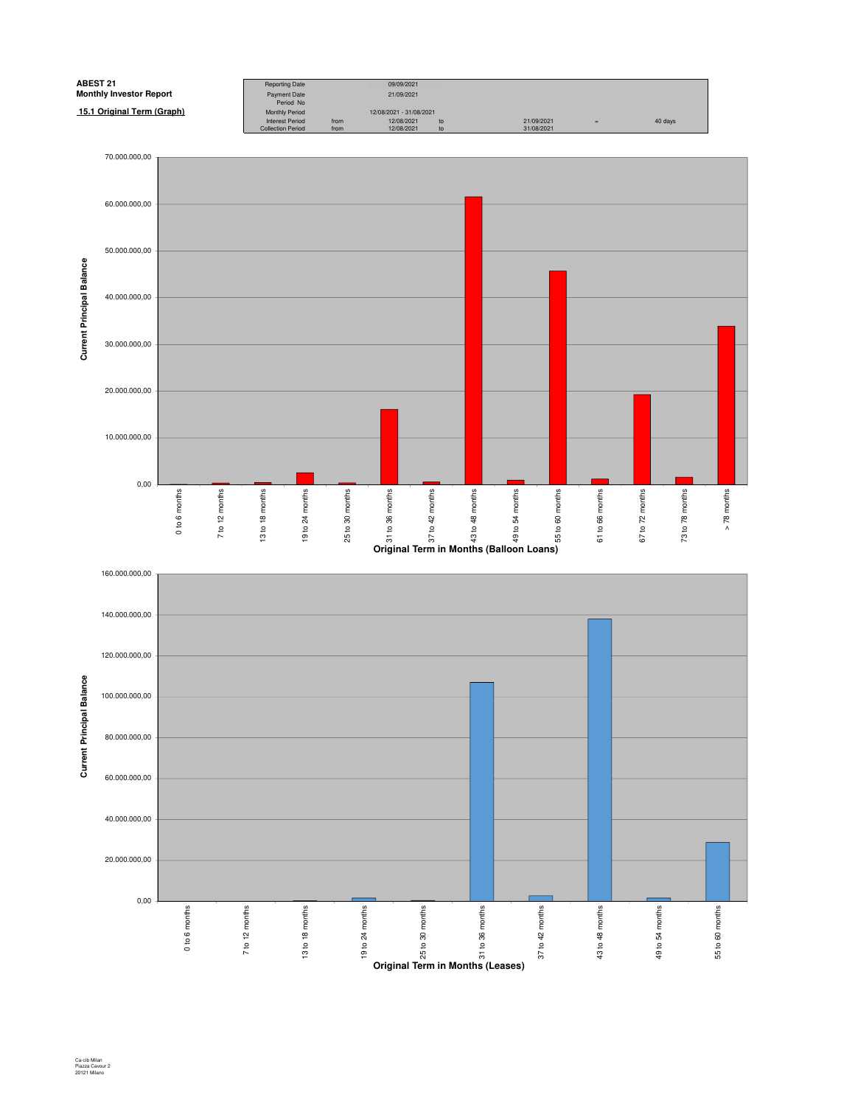

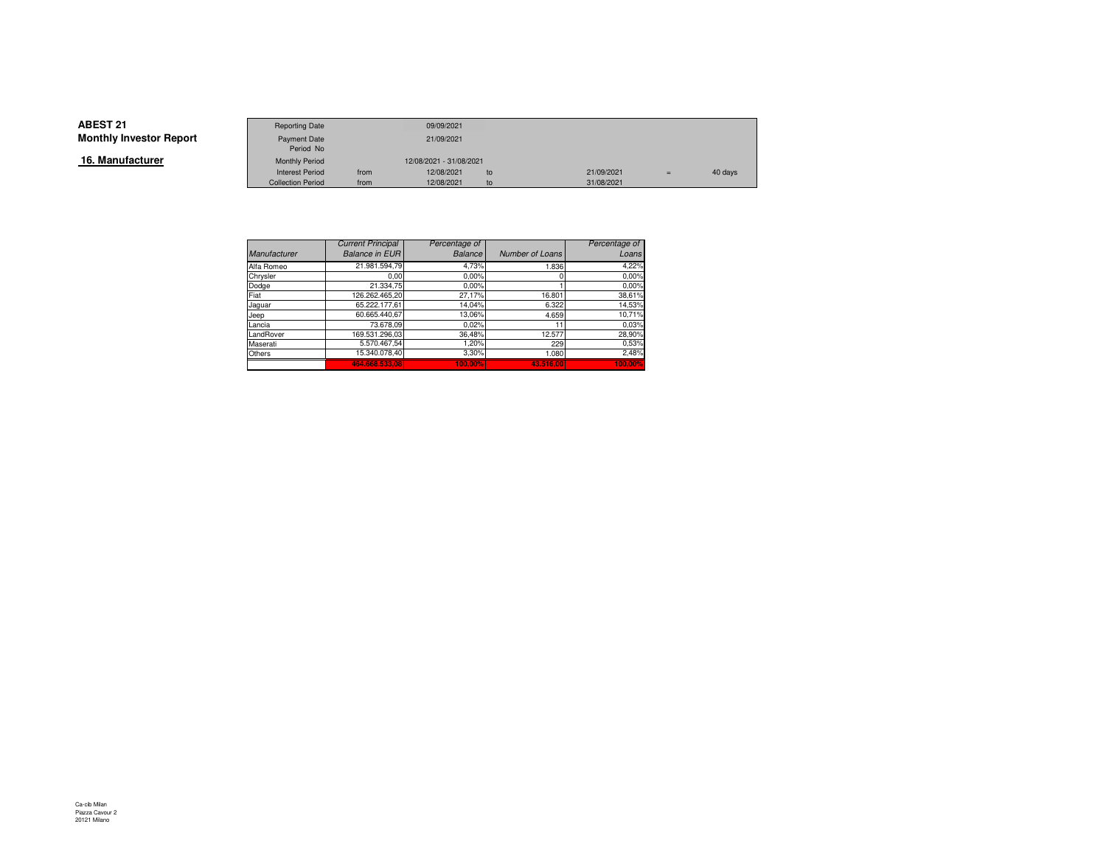**16. Manufacturer**

|                 | <b>Reporting Date</b>    |      | 09/09/2021              |    |            |     |         |
|-----------------|--------------------------|------|-------------------------|----|------------|-----|---------|
| Investor Report | Payment Date             |      | 21/09/2021              |    |            |     |         |
|                 | Period No                |      |                         |    |            |     |         |
| ufacturer       | <b>Monthly Period</b>    |      | 12/08/2021 - 31/08/2021 |    |            |     |         |
|                 | <b>Interest Period</b>   | from | 12/08/2021              | to | 21/09/2021 | $=$ | 40 days |
|                 | <b>Collection Period</b> | from | 12/08/2021              | to | 31/08/2021 |     |         |

|                     | <b>Current Principal</b> | Percentage of  |                 | Percentage of |
|---------------------|--------------------------|----------------|-----------------|---------------|
| <b>Manufacturer</b> | <b>Balance in EUR</b>    | <b>Balance</b> | Number of Loans | Loans         |
| Alfa Romeo          | 21.981.594.79            | 4,73%          | 1.836           | 4,22%         |
| Chrysler            | 0.00                     | 0.00%          |                 | 0.00%         |
| Dodge               | 21.334.75                | 0.00%          |                 | 0.00%         |
| Fiat                | 126.262.465,20           | 27,17%         | 16.801          | 38,61%        |
| Jaguar              | 65.222.177.61            | 14,04%         | 6.322           | 14,53%        |
| Jeep                | 60.665.440.67            | 13,06%         | 4.659           | 10,71%        |
| Lancia              | 73.678,09                | 0.02%          | 11              | 0.03%         |
| LandRover           | 169.531.296.03           | 36,48%         | 12.577          | 28,90%        |
| Maserati            | 5.570.467.54             | 1,20%          | 229             | 0,53%         |
| Others              | 15.340.078.40            | 3,30%          | 1.080           | 2,48%         |
|                     | 464.668.533.08           | 100.00%        | 43.516.00       | 100.00%       |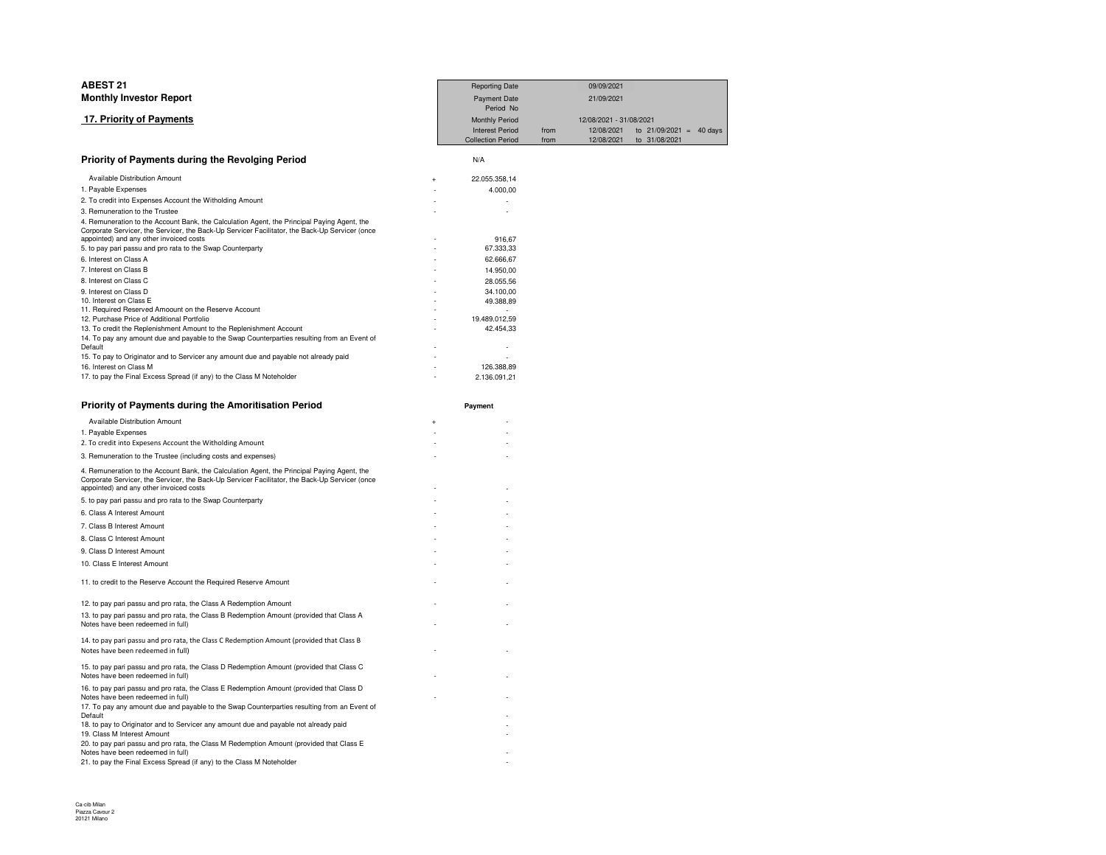| <b>ABEST 21</b>                                                                                                                                                                                                                          | <b>Reporting Date</b>      |      | 09/09/2021              |                           |  |
|------------------------------------------------------------------------------------------------------------------------------------------------------------------------------------------------------------------------------------------|----------------------------|------|-------------------------|---------------------------|--|
| <b>Monthly Investor Report</b>                                                                                                                                                                                                           | <b>Payment Date</b>        |      | 21/09/2021              |                           |  |
|                                                                                                                                                                                                                                          | Period No                  |      |                         |                           |  |
| 17. Priority of Payments                                                                                                                                                                                                                 | <b>Monthly Period</b>      |      | 12/08/2021 - 31/08/2021 |                           |  |
|                                                                                                                                                                                                                                          | <b>Interest Period</b>     | from | 12/08/2021              | to $21/09/2021 = 40$ days |  |
|                                                                                                                                                                                                                                          | <b>Collection Period</b>   | from | 12/08/2021              | to 31/08/2021             |  |
| Priority of Payments during the Revolging Period                                                                                                                                                                                         | N/A                        |      |                         |                           |  |
| Available Distribution Amount                                                                                                                                                                                                            | 22.055.358,14<br>4         |      |                         |                           |  |
| 1. Payable Expenses                                                                                                                                                                                                                      | 4.000,00                   |      |                         |                           |  |
| 2. To credit into Expenses Account the Witholding Amount                                                                                                                                                                                 |                            |      |                         |                           |  |
| 3. Remuneration to the Trustee                                                                                                                                                                                                           |                            |      |                         |                           |  |
| 4. Remuneration to the Account Bank, the Calculation Agent, the Principal Paying Agent, the<br>Corporate Servicer, the Servicer, the Back-Up Servicer Facilitator, the Back-Up Servicer (once<br>appointed) and any other invoiced costs | 916,67                     |      |                         |                           |  |
| 5. to pay pari passu and pro rata to the Swap Counterparty                                                                                                                                                                               | 67.333,33                  |      |                         |                           |  |
| 6. Interest on Class A                                                                                                                                                                                                                   | 62.666,67                  |      |                         |                           |  |
| 7. Interest on Class B                                                                                                                                                                                                                   | 14.950,00                  |      |                         |                           |  |
| 8. Interest on Class C                                                                                                                                                                                                                   | 28.055,56                  |      |                         |                           |  |
| 9. Interest on Class D                                                                                                                                                                                                                   | 34.100.00                  |      |                         |                           |  |
| 10. Interest on Class E                                                                                                                                                                                                                  | 49.388,89                  |      |                         |                           |  |
| 11. Required Reserved Amoount on the Reserve Account                                                                                                                                                                                     | $\overline{a}$             |      |                         |                           |  |
| 12. Purchase Price of Additional Portfolio<br>13. To credit the Replenishment Amount to the Replenishment Account                                                                                                                        | 19.489.012,59<br>42.454,33 |      |                         |                           |  |
| 14. To pay any amount due and payable to the Swap Counterparties resulting from an Event of                                                                                                                                              |                            |      |                         |                           |  |
| Default                                                                                                                                                                                                                                  |                            |      |                         |                           |  |
| 15. To pay to Originator and to Servicer any amount due and payable not already paid                                                                                                                                                     |                            |      |                         |                           |  |
| 16. Interest on Class M                                                                                                                                                                                                                  | 126.388.89                 |      |                         |                           |  |
| 17. to pay the Final Excess Spread (if any) to the Class M Noteholder                                                                                                                                                                    | 2.136.091,21               |      |                         |                           |  |
|                                                                                                                                                                                                                                          |                            |      |                         |                           |  |
|                                                                                                                                                                                                                                          |                            |      |                         |                           |  |
| Priority of Payments during the Amoritisation Period                                                                                                                                                                                     | Payment                    |      |                         |                           |  |
| Available Distribution Amount                                                                                                                                                                                                            | 4                          |      |                         |                           |  |
| 1. Payable Expenses                                                                                                                                                                                                                      |                            |      |                         |                           |  |
| 2. To credit into Expesens Account the Witholding Amount                                                                                                                                                                                 |                            |      |                         |                           |  |
| 3. Remuneration to the Trustee (including costs and expenses)                                                                                                                                                                            |                            |      |                         |                           |  |
| 4. Remuneration to the Account Bank, the Calculation Agent, the Principal Paying Agent, the<br>Corporate Servicer, the Servicer, the Back-Up Servicer Facilitator, the Back-Up Servicer (once                                            |                            |      |                         |                           |  |
| appointed) and any other invoiced costs                                                                                                                                                                                                  |                            |      |                         |                           |  |
| 5. to pay pari passu and pro rata to the Swap Counterparty                                                                                                                                                                               |                            |      |                         |                           |  |
| 6. Class A Interest Amount                                                                                                                                                                                                               |                            |      |                         |                           |  |
| 7. Class B Interest Amount                                                                                                                                                                                                               |                            |      |                         |                           |  |
| 8. Class C Interest Amount                                                                                                                                                                                                               |                            |      |                         |                           |  |
| 9. Class D Interest Amount                                                                                                                                                                                                               |                            |      |                         |                           |  |
| 10. Class E Interest Amount                                                                                                                                                                                                              |                            |      |                         |                           |  |
| 11. to credit to the Reserve Account the Required Reserve Amount                                                                                                                                                                         |                            |      |                         |                           |  |
| 12. to pay pari passu and pro rata, the Class A Redemption Amount                                                                                                                                                                        |                            |      |                         |                           |  |
|                                                                                                                                                                                                                                          |                            |      |                         |                           |  |
| 13. to pay pari passu and pro rata, the Class B Redemption Amount (provided that Class A<br>Notes have been redeemed in full)                                                                                                            |                            |      |                         |                           |  |
| 14. to pay pari passu and pro rata, the Class C Redemption Amount (provided that Class B                                                                                                                                                 |                            |      |                         |                           |  |
| Notes have been redeemed in full)                                                                                                                                                                                                        |                            |      |                         |                           |  |
| 15. to pay pari passu and pro rata, the Class D Redemption Amount (provided that Class C                                                                                                                                                 |                            |      |                         |                           |  |
| Notes have been redeemed in full)<br>16. to pay pari passu and pro rata, the Class E Redemption Amount (provided that Class D                                                                                                            |                            |      |                         |                           |  |

-

 $\sim$ 

 $\sim$ 

16. to pay pari passu and pro rata, the Class E Redemption Amount (provided that Class D<br>Notes have been redeemed in full)<br>17. To pay any amount due and payable to the Swap Counterparties resulting from an Event of Default -<br>18. to pay to Originator and to Servicer any amount due and payable not already paid<br>19. Class M Interest Amount - $\overline{a}$  -  $\overline{a}$  -  $\overline{a}$  -  $\overline{a}$  -  $\overline{a}$  -  $\overline{a}$  -  $\overline{a}$  -  $\overline{a}$  -  $\overline{a}$  -  $\overline{a}$  -  $\overline{a}$  -  $\overline{a}$  -  $\overline{a}$  -  $\overline{a}$  -  $\overline{a}$  -  $\overline{a}$  -  $\overline{a}$  -  $\overline{a}$  -  $\overline{a}$  -  $\overline{a}$  - 20. to pay pari passu and pro rata, the Class M Redemption Amount (provided that Class E Notes have been redeemed in full) -21. to pay the Final Excess Spread (if any) to the Class M Noteholder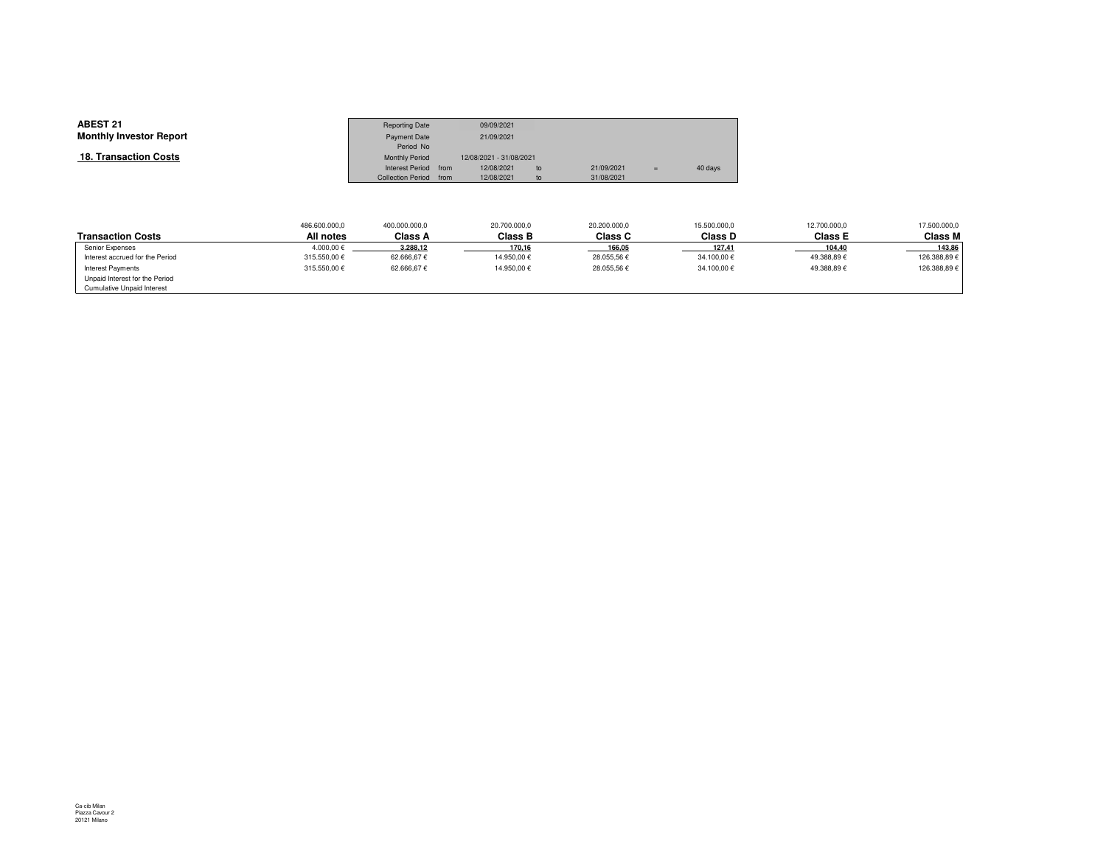| <b>ABEST 21</b>                | <b>Reporting Date</b>            | 09/09/2021              |    |            |     |         |
|--------------------------------|----------------------------------|-------------------------|----|------------|-----|---------|
| <b>Monthly Investor Report</b> | <b>Payment Date</b><br>Period No | 21/09/2021              |    |            |     |         |
| 18. Transaction Costs          | <b>Monthly Period</b>            | 12/08/2021 - 31/08/2021 |    |            |     |         |
|                                | Interest Period from             | 12/08/2021              | to | 21/09/2021 | $=$ | 40 days |
|                                | Collection Period from           | 12/08/2021              | to | 31/08/2021 |     |         |

|                                   | 486.600.000,0 | 400.000.000,0 | 20.700.000,0   | 20,200,000.0 | 15.500.000,0 | 12.700.000,0 | 17.500.000,0 |
|-----------------------------------|---------------|---------------|----------------|--------------|--------------|--------------|--------------|
| <b>Transaction Costs</b>          | All notes     | Class A       | <b>Class B</b> | Class C      | Class D      | Class E      | Class M      |
| Senior Expenses                   | 4.000.00€     | 3.288,12      | 170,16         | 166,05       | 127,41       | 104,40       | 143,86       |
| Interest accrued for the Period   | 315.550.00€   | 62.666.67€    | 14.950.00€     | 28.055.56€   | 34.100.00€   | 49.388.89€   | 126.388.89€  |
| Interest Payments                 | 315.550.00€   | 62.666.67€    | 14.950.00€     | 28.055.56€   | 34.100.00€   | 49.388.89€   | 126.388.89€  |
| Unpaid Interest for the Period    |               |               |                |              |              |              |              |
| <b>Cumulative Unpaid Interest</b> |               |               |                |              |              |              |              |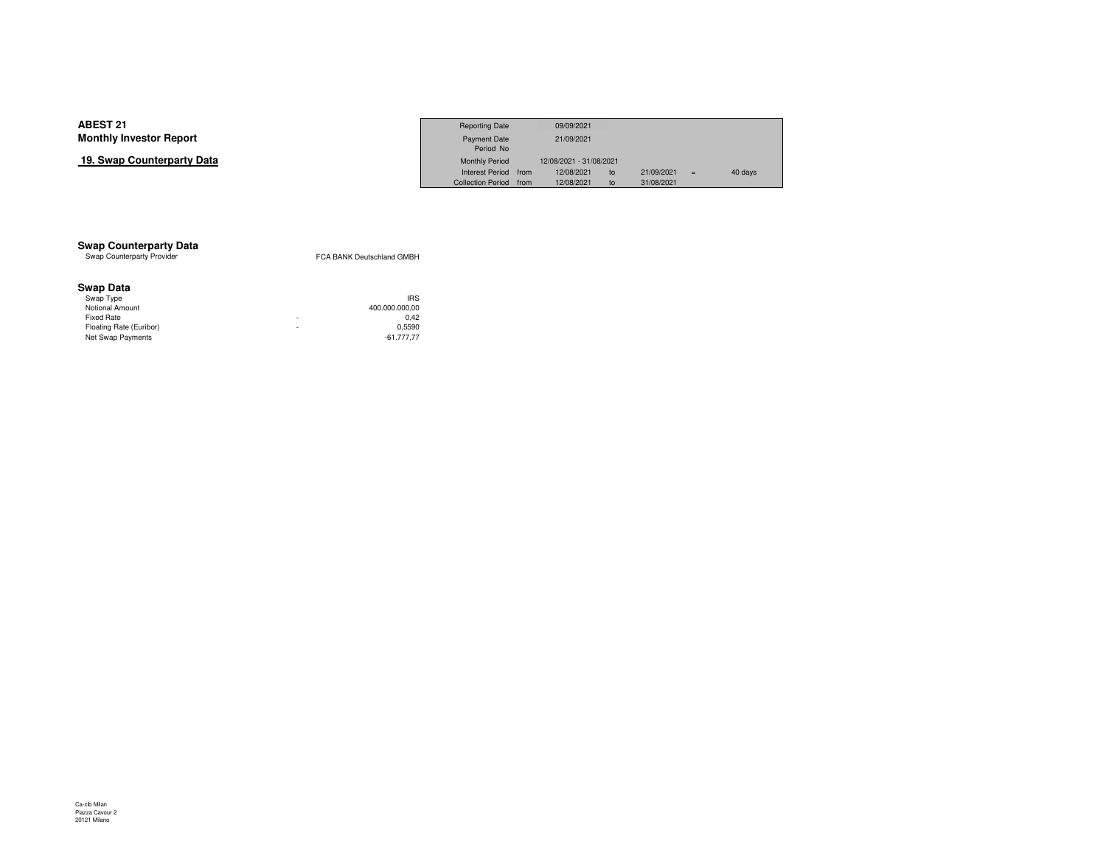## **19. Swap Counterparty Data**

|                     | <b>Reporting Date</b>  | 09/09/2021              |    |            |     |         |
|---------------------|------------------------|-------------------------|----|------------|-----|---------|
| Investor Report     | Payment Date           | 21/09/2021              |    |            |     |         |
|                     | Period No              |                         |    |            |     |         |
| Counterpartv Data כ | <b>Monthly Period</b>  | 12/08/2021 - 31/08/2021 |    |            |     |         |
|                     | Interest Period from   | 12/08/2021              | to | 21/09/2021 | $=$ | 40 days |
|                     | Collection Period from | 12/08/2021              | to | 31/08/2021 |     |         |

# **Swap Counterparty Data**<br>Swap Counterparty Provider

FCA BANK Deutschland GMBH

### **Swap Data**

|   | <b>IRS</b>     |
|---|----------------|
|   | 400.000.000.00 |
| ۰ | 0.42           |
| ۰ | 0.5590         |
|   | $-61.777.77$   |
|   |                |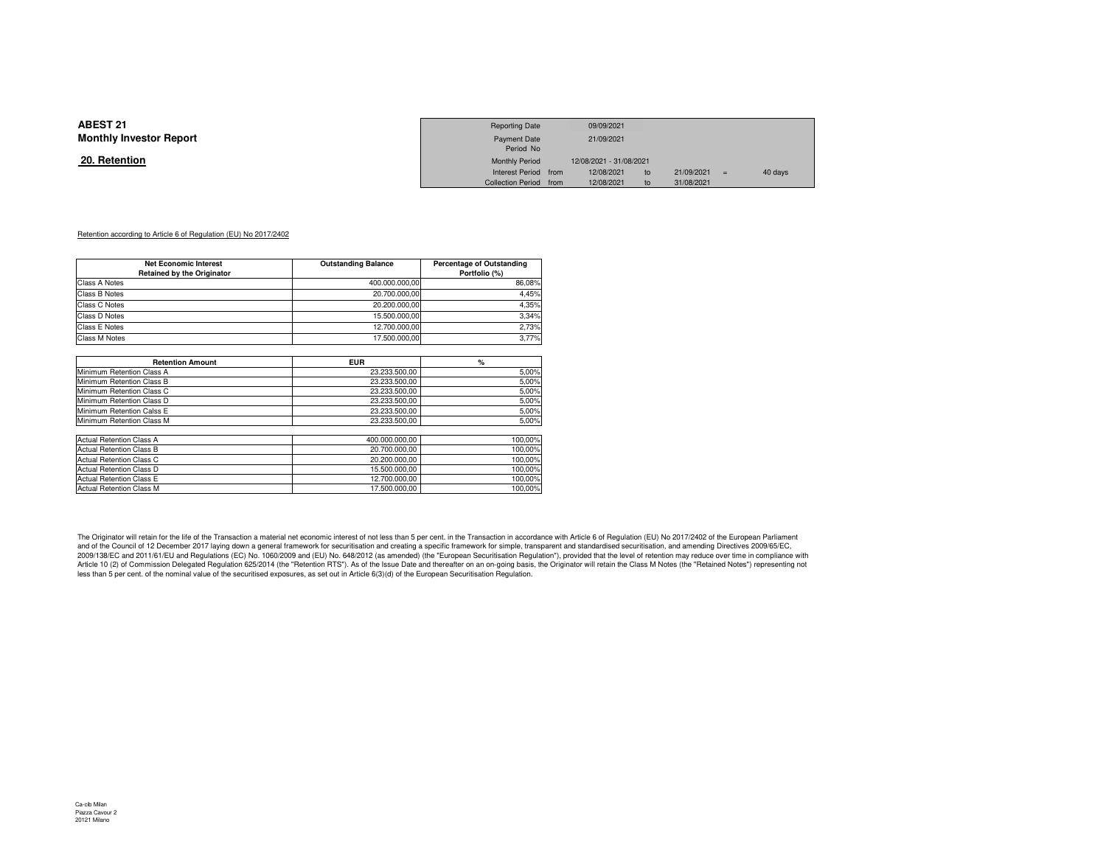#### **20. Retention**

|                 | <b>Reporting Date</b>  | 09/09/2021              |    |            |         |
|-----------------|------------------------|-------------------------|----|------------|---------|
| Investor Report | <b>Payment Date</b>    | 21/09/2021              |    |            |         |
|                 | Period No              |                         |    |            |         |
| <u>ntion</u>    | <b>Monthly Period</b>  | 12/08/2021 - 31/08/2021 |    |            |         |
|                 | Interest Period from   | 12/08/2021              | to | 21/09/2021 | 40 days |
|                 | Collection Period from | 12/08/2021              | to | 31/08/2021 |         |

#### Retention according to Article 6 of Regulation (EU) No 2017/2402

| <b>Net Economic Interest</b>      | <b>Outstanding Balance</b> | <b>Percentage of Outstanding</b> |
|-----------------------------------|----------------------------|----------------------------------|
| <b>Retained by the Originator</b> |                            | Portfolio (%)                    |
| Class A Notes                     | 400.000.000.00             | 86.08%                           |
| Class B Notes                     | 20.700.000.00              | 4.45%                            |
| Class C Notes                     | 20.200.000.00              | 4.35%                            |
| Class D Notes                     | 15.500.000.00              | 3.34%                            |
| Class E Notes                     | 12.700.000.00              | 2.73%                            |
| Class M Notes                     | 17.500.000.00              | 3.77%                            |

| <b>Retention Amount</b>         | <b>EUR</b>     | %       |
|---------------------------------|----------------|---------|
| Minimum Retention Class A       | 23.233.500.00  | 5,00%   |
| Minimum Retention Class B       | 23.233.500.00  | 5,00%   |
| Minimum Retention Class C       | 23.233.500.00  | 5,00%   |
| Minimum Retention Class D       | 23.233.500.00  | 5,00%   |
| Minimum Retention Calss E       | 23.233.500.00  | 5,00%   |
| Minimum Retention Class M       | 23.233.500.00  | 5,00%   |
|                                 |                |         |
| Actual Retention Class A        | 400.000.000.00 | 100.00% |
| <b>Actual Retention Class B</b> | 20.700.000.00  | 100,00% |
| Actual Retention Class C        | 20.200.000.00  | 100.00% |
| <b>Actual Retention Class D</b> | 15.500.000.00  | 100,00% |
| <b>Actual Retention Class E</b> | 12.700.000.00  | 100,00% |
| <b>Actual Retention Class M</b> | 17.500.000.00  | 100.00% |

The Originator will retain for the life of the Transaction a material net economic interest of not less than 5 per cent. in the Transaction in accordance with Article 6 of Regulation (EU) No 2017/2402 of the European Parli 2009/138/EC and 2011/61/EU and Regulations (EC) No. 1060/2009 and (EU) No. 648/2012 (as amended) (the "European Securitisation Regulation"), provided that the level of retention may reduce over time in compliance with Article 10 (2) of Commission Delegated Regulation 625/2014 (the "Retention RTS"). As of the Issue Date and thereafter on an on-going basis, the Originator will retain the Class M Notes (the "Retained Notes") representing n less than 5 per cent. of the nominal value of the securitised exposures, as set out in Article 6(3)(d) of the European Securitisation Regulation.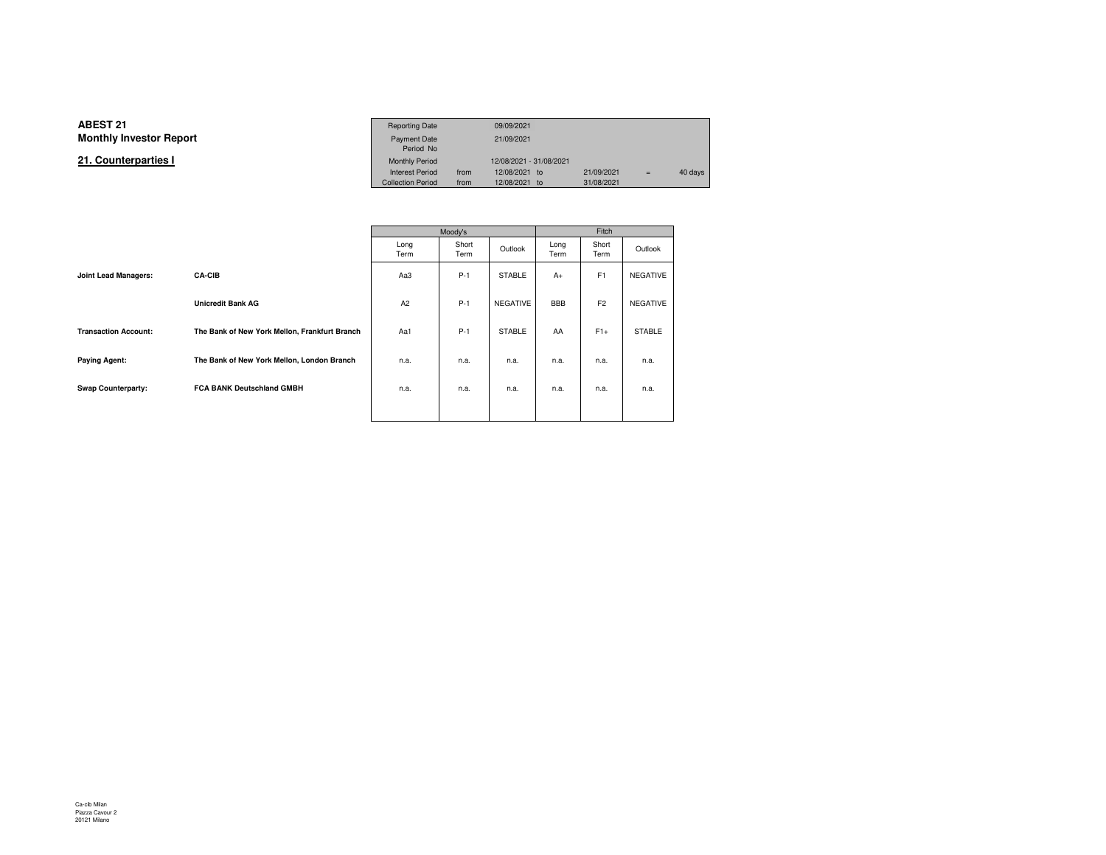**21. Counterparties I**

|                 | <b>Reporting Date</b>    |      | 09/09/2021              |            |     |         |
|-----------------|--------------------------|------|-------------------------|------------|-----|---------|
| Investor Report | <b>Payment Date</b>      |      | 21/09/2021              |            |     |         |
|                 | Period No                |      |                         |            |     |         |
| terparties l    | <b>Monthly Period</b>    |      | 12/08/2021 - 31/08/2021 |            |     |         |
|                 | <b>Interest Period</b>   | from | 12/08/2021 to           | 21/09/2021 | $=$ | 40 days |
|                 | <b>Collection Period</b> | from | 12/08/2021 to           | 31/08/2021 |     |         |

|                             |                                               | Moody's      |               |                 |              |                |                 |
|-----------------------------|-----------------------------------------------|--------------|---------------|-----------------|--------------|----------------|-----------------|
|                             |                                               | Long<br>Term | Short<br>Term | Outlook         | Long<br>Term | Short<br>Term  | Outlook         |
| Joint Lead Managers:        | <b>CA-CIB</b>                                 | Aa3          | $P-1$         | <b>STABLE</b>   | $A+$         | F1             | <b>NEGATIVE</b> |
|                             | <b>Unicredit Bank AG</b>                      | A2           | $P-1$         | <b>NEGATIVE</b> | <b>BBB</b>   | F <sub>2</sub> | <b>NEGATIVE</b> |
| <b>Transaction Account:</b> | The Bank of New York Mellon, Frankfurt Branch | Aa1          | $P-1$         | <b>STABLE</b>   | AA           | $F1+$          | <b>STABLE</b>   |
| <b>Paying Agent:</b>        | The Bank of New York Mellon, London Branch    | n.a.         | n.a.          | n.a.            | n.a.         | n.a.           | n.a.            |
| Swap Counterparty:          | <b>FCA BANK Deutschland GMBH</b>              | n.a.         | n.a.          | n.a.            | n.a.         | n.a.           | n.a.            |
|                             |                                               |              |               |                 |              |                |                 |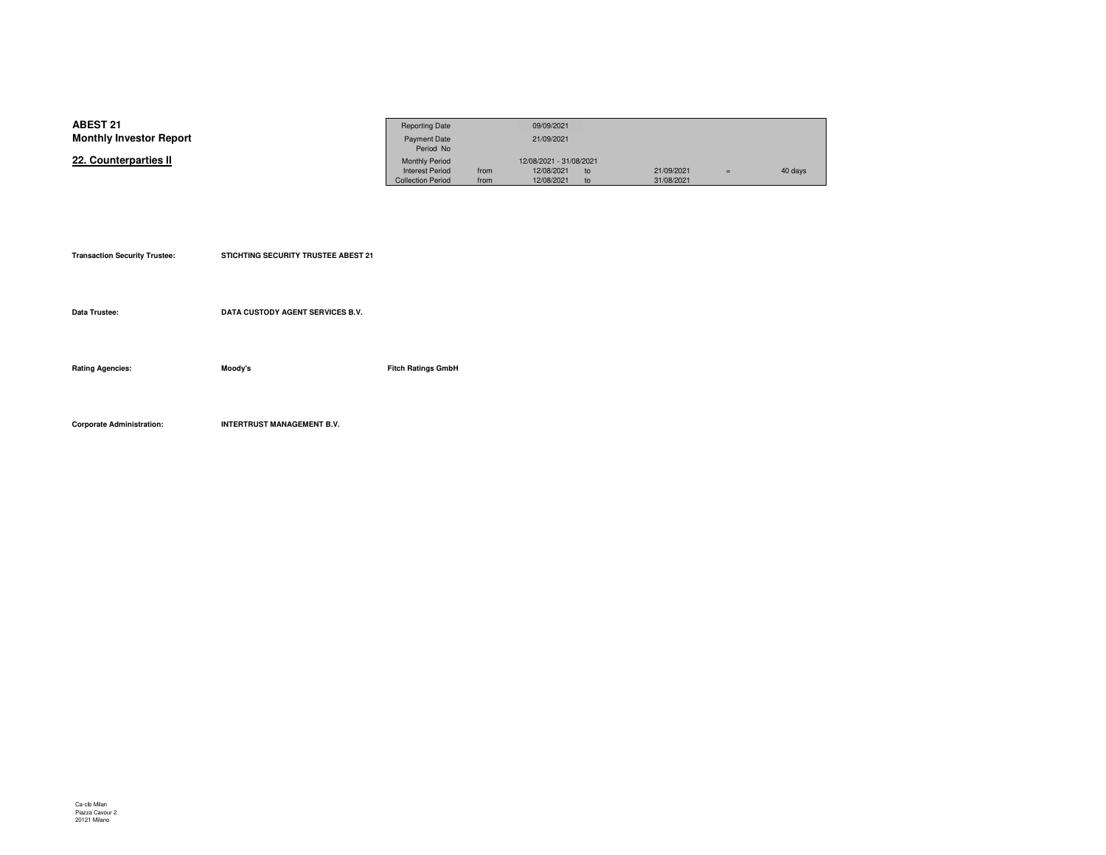| <b>ABEST 21</b>                | <b>Reporting Date</b>    |      | 09/09/2021              |    |            |     |         |
|--------------------------------|--------------------------|------|-------------------------|----|------------|-----|---------|
| <b>Monthly Investor Report</b> | <b>Payment Date</b>      |      | 21/09/2021              |    |            |     |         |
|                                | Period No                |      |                         |    |            |     |         |
| 22. Counterparties II          | <b>Monthly Period</b>    |      | 12/08/2021 - 31/08/2021 |    |            |     |         |
|                                | <b>Interest Period</b>   | from | 12/08/2021              | to | 21/09/2021 | $=$ | 40 days |
|                                | <b>Collection Period</b> | from | 12/08/2021              |    | 31/08/2021 |     |         |

| <b>Transaction Security Trustee:</b> | <b>STICHTING SECURITY TRUSTEE ABEST 21</b> |                           |
|--------------------------------------|--------------------------------------------|---------------------------|
| Data Trustee:                        | DATA CUSTODY AGENT SERVICES B.V.           |                           |
|                                      |                                            |                           |
| <b>Rating Agencies:</b>              | Moody's                                    | <b>Fitch Ratings GmbH</b> |
|                                      |                                            |                           |

**Corporate Administration: INTERTRUST MANAGEMENT B.V.**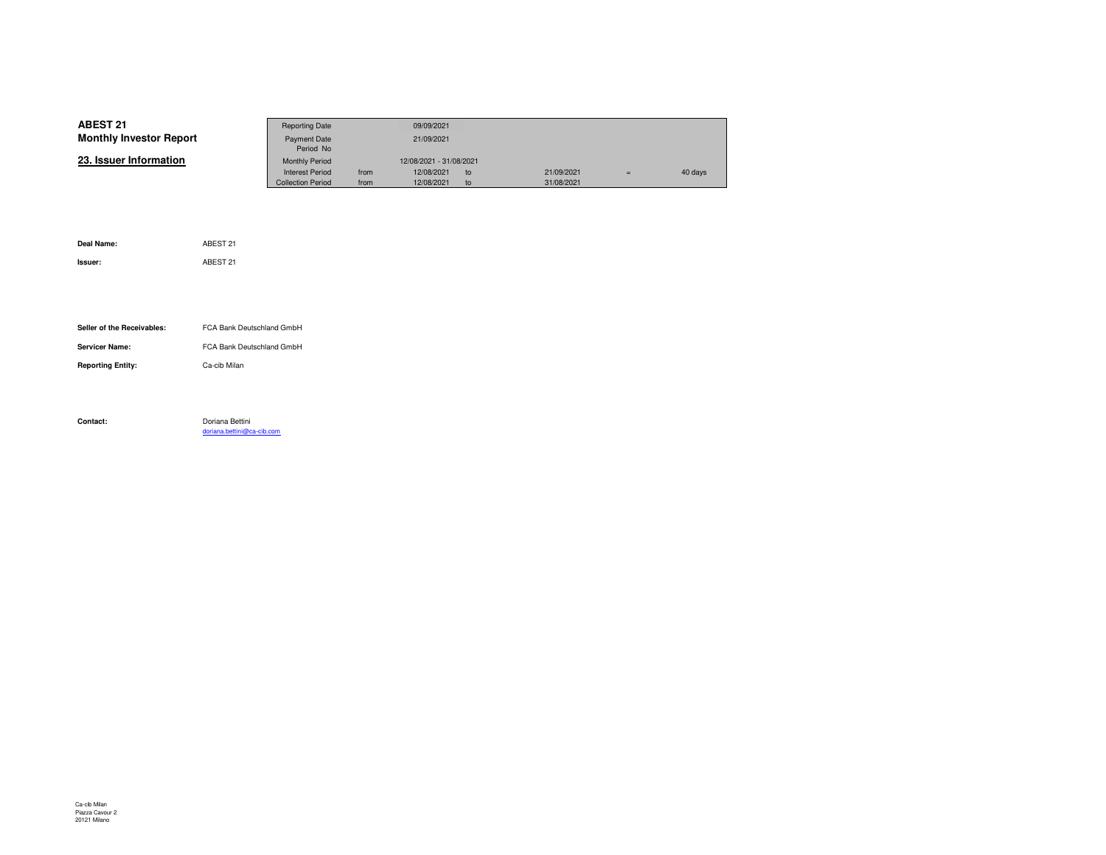| ABEST 21                       | <b>Reporting Date</b>    |      | 09/09/2021              |    |            |     |         |
|--------------------------------|--------------------------|------|-------------------------|----|------------|-----|---------|
| <b>Monthly Investor Report</b> | <b>Payment Date</b>      |      | 21/09/2021              |    |            |     |         |
|                                | Period No                |      |                         |    |            |     |         |
| 23. Issuer Information         | <b>Monthly Period</b>    |      | 12/08/2021 - 31/08/2021 |    |            |     |         |
|                                | <b>Interest Period</b>   | from | 12/08/2021              | to | 21/09/2021 | $=$ | 40 days |
|                                | <b>Collection Period</b> | from | 12/08/2021              | to | 31/08/2021 |     |         |

| Deal Name:                 | ABEST 21                   |
|----------------------------|----------------------------|
| Issuer:                    | ABEST 21                   |
|                            |                            |
|                            |                            |
|                            |                            |
| Seller of the Receivables: | FCA Bank Deutschland GmbH  |
| <b>Servicer Name:</b>      | FCA Bank Deutschland GmbH  |
| <b>Reporting Entity:</b>   | Ca-cib Milan               |
|                            |                            |
|                            |                            |
| Contact:                   | Doriana Bettini            |
|                            | doriana.bettini@ca-cib.com |
|                            |                            |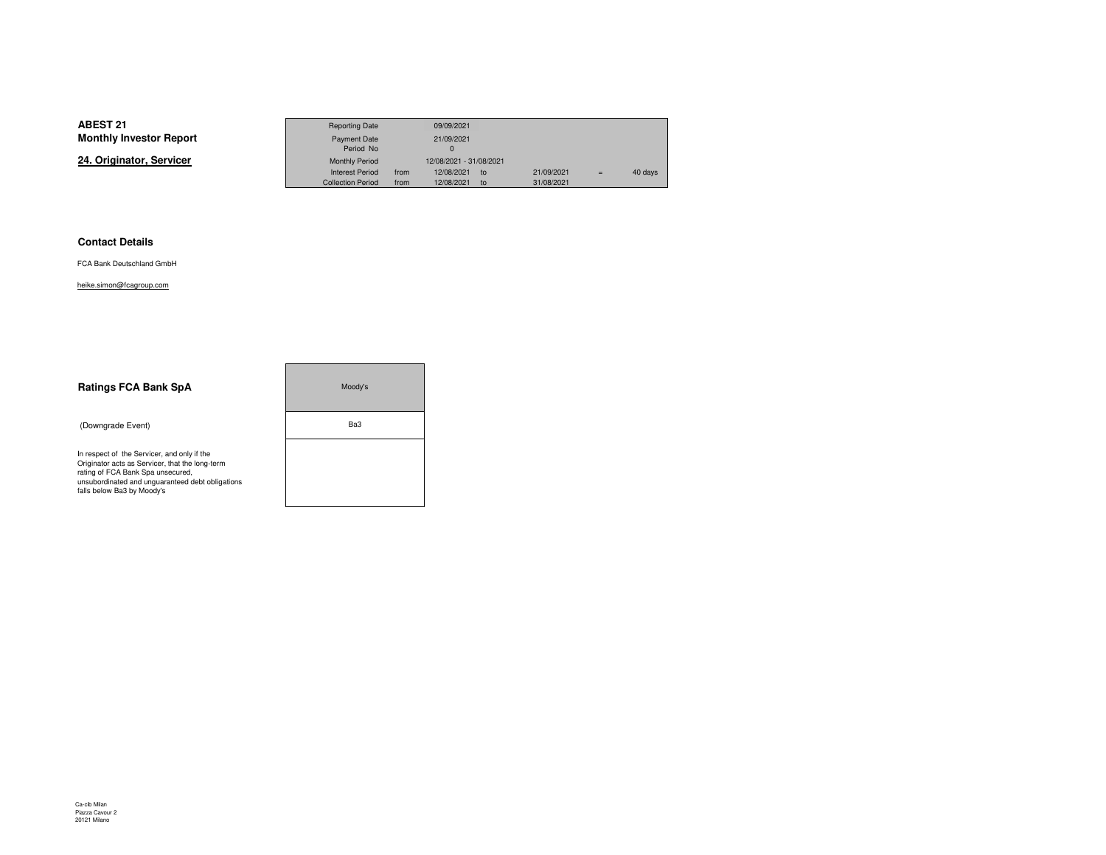**24. Originator, Servicer**

|                 | <b>Reporting Date</b>    |      | 09/09/2021                    |            |     |         |
|-----------------|--------------------------|------|-------------------------------|------------|-----|---------|
| Investor Report | Payment Date             |      | 21/09/2021                    |            |     |         |
|                 | Period No                |      |                               |            |     |         |
| าator. Servicer | <b>Monthly Period</b>    |      | 12/08/2021 - 31/08/2021       |            |     |         |
|                 | <b>Interest Period</b>   | from | 12/08/2021<br>10 <sub>o</sub> | 21/09/2021 | $=$ | 40 days |
|                 | <b>Collection Period</b> | from | 12/08/2021<br>to              | 31/08/2021 |     |         |

۰

#### **Contact Details**

FCA Bank Deutschland GmbH

heike.simon@fcagroup.com

| <b>Ratings FCA Bank SpA</b>                                                                                                                                                                                           | Moody's |
|-----------------------------------------------------------------------------------------------------------------------------------------------------------------------------------------------------------------------|---------|
| (Downgrade Event)                                                                                                                                                                                                     | Ba3     |
| In respect of the Servicer, and only if the<br>Originator acts as Servicer, that the long-term<br>rating of FCA Bank Spa unsecured,<br>unsubordinated and unquaranteed debt obligations<br>falls below Ba3 by Moody's |         |